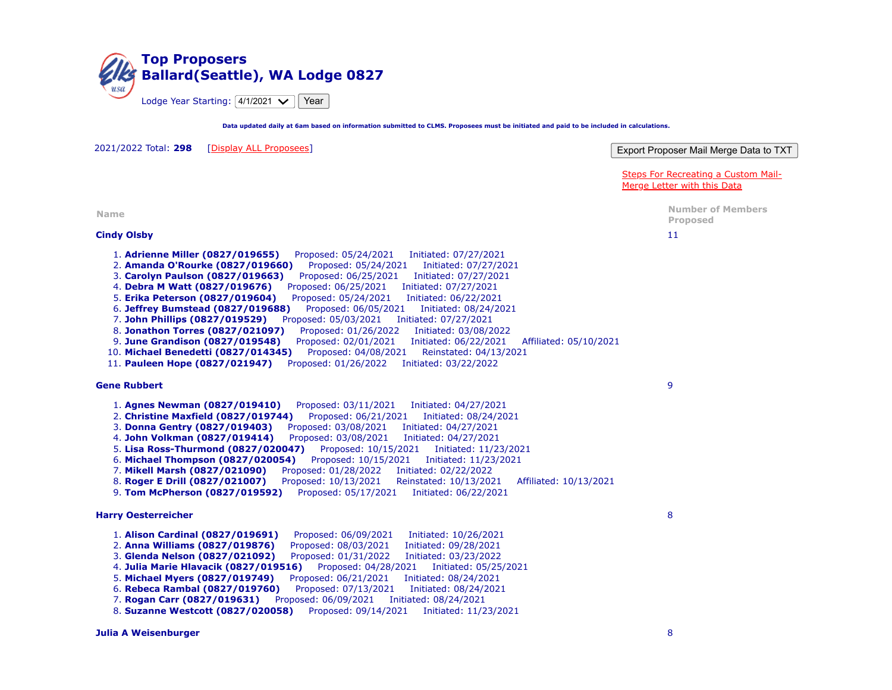

**Data updated daily at 6am based on information submitted to CLMS. Proposees must be initiated and paid to be included in calculations.**

Export Proposer Mail Merge Data to TXT [Steps For Recreating a Custom Mail-](javascript:void(0);)Merge Letter with this Data 2021/2022 Total: **298** [[Display ALL Proposees\]](https://www.elks.org/clms2web/reports/topProposers.cfm?displayAll=true&startYear=2021) **Name Number of Members Proposed Cindy Olsby** 1. **Adrienne Miller (0827/019655)** Proposed: 05/24/2021 Initiated: 07/27/2021 2. **Amanda O'Rourke (0827/019660)** Proposed: 05/24/2021 Initiated: 07/27/2021 3. **Carolyn Paulson (0827/019663)** Proposed: 06/25/2021 Initiated: 07/27/2021 4. **Debra M Watt (0827/019676)** Proposed: 06/25/2021 Initiated: 07/27/2021 5. **Erika Peterson (0827/019604)** Proposed: 05/24/2021 Initiated: 06/22/2021 6. **Jeffrey Bumstead (0827/019688)** Proposed: 06/05/2021 Initiated: 08/24/2021 7. **John Phillips (0827/019529)** Proposed: 05/03/2021 Initiated: 07/27/2021 8. **Jonathon Torres (0827/021097)** Proposed: 01/26/2022 Initiated: 03/08/2022 9. **June Grandison (0827/019548)** Proposed: 02/01/2021 Initiated: 06/22/2021 Affiliated: 05/10/2021 10. **Michael Benedetti (0827/014345)** Proposed: 04/08/2021 Reinstated: 04/13/2021 11. **Pauleen Hope (0827/021947)** Proposed: 01/26/2022 Initiated: 03/22/2022 11 **Gene Rubbert** 1. **Agnes Newman (0827/019410)** Proposed: 03/11/2021 Initiated: 04/27/2021 2. **Christine Maxfield (0827/019744)** Proposed: 06/21/2021 Initiated: 08/24/2021 3. **Donna Gentry (0827/019403)** Proposed: 03/08/2021 Initiated: 04/27/2021 4. **John Volkman (0827/019414)** Proposed: 03/08/2021 Initiated: 04/27/2021 5. **Lisa Ross-Thurmond (0827/020047)** Proposed: 10/15/2021 Initiated: 11/23/2021 6. **Michael Thompson (0827/020054)** Proposed: 10/15/2021 Initiated: 11/23/2021 7. **Mikell Marsh (0827/021090)** Proposed: 01/28/2022 Initiated: 02/22/2022 8. **Roger E Drill (0827/021007)** Proposed: 10/13/2021 Reinstated: 10/13/2021 Affiliated: 10/13/2021 9. **Tom McPherson (0827/019592)** Proposed: 05/17/2021 Initiated: 06/22/2021 9 **Harry Oesterreicher** 1. **Alison Cardinal (0827/019691)** Proposed: 06/09/2021 Initiated: 10/26/2021 2. **Anna Williams (0827/019876)** Proposed: 08/03/2021 Initiated: 09/28/2021 3. **Glenda Nelson (0827/021092)** Proposed: 01/31/2022 Initiated: 03/23/2022 4. **Julia Marie Hlavacik (0827/019516)** Proposed: 04/28/2021 Initiated: 05/25/2021 5. **Michael Myers (0827/019749)** Proposed: 06/21/2021 Initiated: 08/24/2021 6. **Rebeca Rambal (0827/019760)** Proposed: 07/13/2021 Initiated: 08/24/2021 7. **Rogan Carr (0827/019631)** Proposed: 06/09/2021 Initiated: 08/24/2021 8. **Suzanne Westcott (0827/020058)** Proposed: 09/14/2021 Initiated: 11/23/2021 8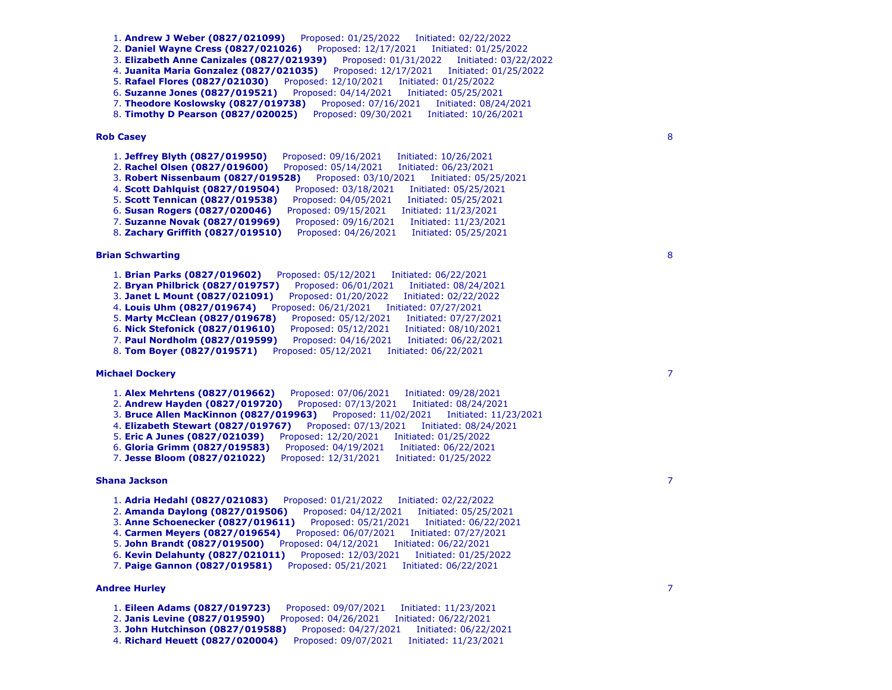1. **Andrew J Weber (0827/021099)** Proposed: 01/25/2022 Initiated: 02/22/2022 2. **Daniel Wayne Cress (0827/021026)** Proposed: 12/17/2021 Initiated: 01/25/2022 3. **Elizabeth Anne Canizales (0827/021939)** Proposed: 01/31/2022 Initiated: 03/22/2022 4. **Juanita Maria Gonzalez (0827/021035)** Proposed: 12/17/2021 Initiated: 01/25/2022 5. **Rafael Flores (0827/021030)** Proposed: 12/10/2021 Initiated: 01/25/2022 6. **Suzanne Jones (0827/019521)** Proposed: 04/14/2021 Initiated: 05/25/2021 7. **Theodore Koslowsky (0827/019738)** Proposed: 07/16/2021 Initiated: 08/24/2021 8. **Timothy D Pearson (0827/020025)** Proposed: 09/30/2021 Initiated: 10/26/2021

# **Rob Casey**

1. **Jeffrey Blyth (0827/019950)** Proposed: 09/16/2021 Initiated: 10/26/2021 2. **Rachel Olsen (0827/019600)** Proposed: 05/14/2021 Initiated: 06/23/2021 3. **Robert Nissenbaum (0827/019528)** Proposed: 03/10/2021 Initiated: 05/25/2021 4. **Scott Dahlquist (0827/019504)** Proposed: 03/18/2021 Initiated: 05/25/2021 5. **Scott Tennican (0827/019538)** Proposed: 04/05/2021 Initiated: 05/25/2021 6. **Susan Rogers (0827/020046)** Proposed: 09/15/2021 Initiated: 11/23/2021 7. **Suzanne Novak (0827/019969)** Proposed: 09/16/2021 Initiated: 11/23/2021 8. **Zachary Griffith (0827/019510)** Proposed: 04/26/2021 Initiated: 05/25/2021

### **Brian Schwarting**

1. **Brian Parks (0827/019602)** Proposed: 05/12/2021 Initiated: 06/22/2021 2. **Bryan Philbrick (0827/019757)** Proposed: 06/01/2021 Initiated: 08/24/2021 3. **Janet L Mount (0827/021091)** Proposed: 01/20/2022 Initiated: 02/22/2022 4. **Louis Uhm (0827/019674)** Proposed: 06/21/2021 Initiated: 07/27/2021 5. **Marty McClean (0827/019678)** Proposed: 05/12/2021 Initiated: 07/27/2021 6. **Nick Stefonick (0827/019610)** Proposed: 05/12/2021 Initiated: 08/10/2021 7. **Paul Nordholm (0827/019599)** Proposed: 04/16/2021 Initiated: 06/22/2021 8. **Tom Boyer (0827/019571)** Proposed: 05/12/2021 Initiated: 06/22/2021

# **Michael Dockery**

1. **Alex Mehrtens (0827/019662)** Proposed: 07/06/2021 Initiated: 09/28/2021 2. **Andrew Hayden (0827/019720)** Proposed: 07/13/2021 Initiated: 08/24/2021 3. **Bruce Allen MacKinnon (0827/019963)** Proposed: 11/02/2021 Initiated: 11/23/2021 4. **Elizabeth Stewart (0827/019767)** Proposed: 07/13/2021 Initiated: 08/24/2021 5. **Eric A Junes (0827/021039)** Proposed: 12/20/2021 Initiated: 01/25/2022 6. **Gloria Grimm (0827/019583)** Proposed: 04/19/2021 Initiated: 06/22/2021 7. **Jesse Bloom (0827/021022)** Proposed: 12/31/2021 Initiated: 01/25/2022

# **Shana Jackson**

1. **Adria Hedahl (0827/021083)** Proposed: 01/21/2022 Initiated: 02/22/2022 2. **Amanda Daylong (0827/019506)** Proposed: 04/12/2021 Initiated: 05/25/2021 3. **Anne Schoenecker (0827/019611)** Proposed: 05/21/2021 Initiated: 06/22/2021 4. **Carmen Meyers (0827/019654)** Proposed: 06/07/2021 Initiated: 07/27/2021 5. **John Brandt (0827/019500)** Proposed: 04/12/2021 Initiated: 06/22/2021 6. **Kevin Delahunty (0827/021011)** Proposed: 12/03/2021 Initiated: 01/25/2022 7. **Paige Gannon (0827/019581)** Proposed: 05/21/2021 Initiated: 06/22/2021

#### **Andree Hurley**

1. **Eileen Adams (0827/019723)** Proposed: 09/07/2021 Initiated: 11/23/2021 2. **Janis Levine (0827/019590)** Proposed: 04/26/2021 Initiated: 06/22/2021 3. **John Hutchinson (0827/019588)** Proposed: 04/27/2021 Initiated: 06/22/2021 4. **Richard Heuett (0827/020004)** Proposed: 09/07/2021 Initiated: 11/23/2021

8

8

7

7

7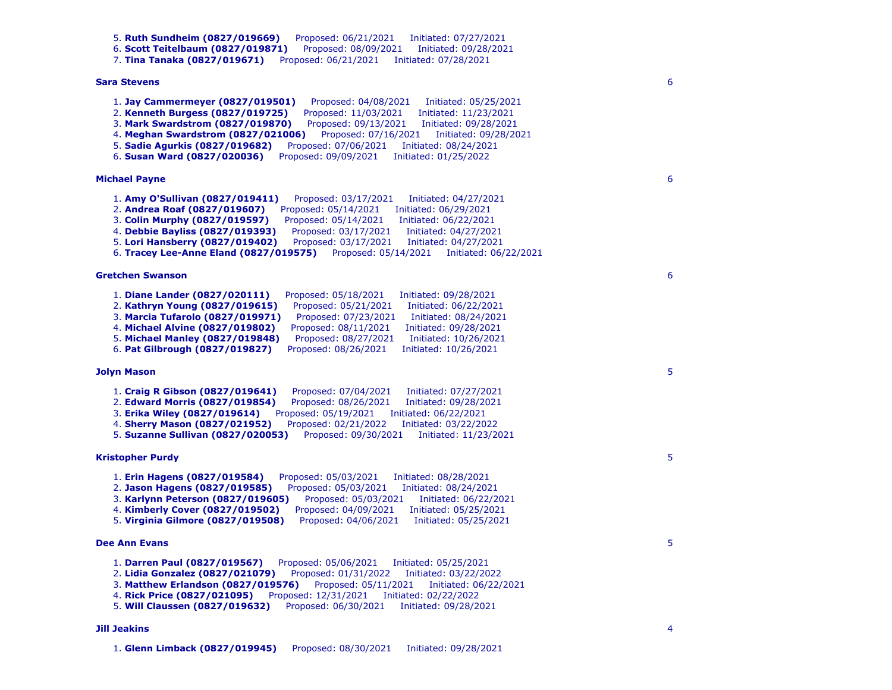```
5. Ruth Sundheim (0827/019669) Proposed: 06/21/2021 Initiated: 07/27/2021 
   6. Scott Teitelbaum (0827/019871) Proposed: 08/09/2021 Initiated: 09/28/2021 
   7. Tina Tanaka (0827/019671) Proposed: 06/21/2021 Initiated: 07/28/2021 
Sara Stevens
   1. Jay Cammermeyer (0827/019501) Proposed: 04/08/2021 Initiated: 05/25/2021 
   2. Kenneth Burgess (0827/019725) Proposed: 11/03/2021 Initiated: 11/23/2021 
   3. Mark Swardstrom (0827/019870) Proposed: 09/13/2021 Initiated: 09/28/2021 
   4. Meghan Swardstrom (0827/021006) Proposed: 07/16/2021 Initiated: 09/28/2021 
   5. Sadie Agurkis (0827/019682) Proposed: 07/06/2021 Initiated: 08/24/2021 
   6. Susan Ward (0827/020036) Proposed: 09/09/2021 Initiated: 01/25/2022 
Michael Payne
   1. Amy O'Sullivan (0827/019411) Proposed: 03/17/2021 Initiated: 04/27/2021 
   2. Andrea Roaf (0827/019607) Proposed: 05/14/2021 Initiated: 06/29/2021 
   3. Colin Murphy (0827/019597) Proposed: 05/14/2021 Initiated: 06/22/2021 
   4. Debbie Bayliss (0827/019393) Proposed: 03/17/2021 Initiated: 04/27/2021 
   5. Lori Hansberry (0827/019402) Proposed: 03/17/2021 Initiated: 04/27/2021 
   6. Tracey Lee-Anne Eland (0827/019575) Proposed: 05/14/2021 Initiated: 06/22/2021 
Gretchen Swanson
   1. Diane Lander (0827/020111) Proposed: 05/18/2021 Initiated: 09/28/2021 
   2. Kathryn Young (0827/019615) Proposed: 05/21/2021 Initiated: 06/22/2021 
   3. Marcia Tufarolo (0827/019971) Proposed: 07/23/2021 Initiated: 08/24/2021 
   4. Michael Alvine (0827/019802) Proposed: 08/11/2021 Initiated: 09/28/2021 
   5. Michael Manley (0827/019848) Proposed: 08/27/2021 Initiated: 10/26/2021 
   6. Pat Gilbrough (0827/019827) Proposed: 08/26/2021 Initiated: 10/26/2021 
Jolyn Mason
   1. Craig R Gibson (0827/019641) Proposed: 07/04/2021 Initiated: 07/27/2021 
   2. Edward Morris (0827/019854) Proposed: 08/26/2021 Initiated: 09/28/2021 
   3. Erika Wiley (0827/019614) Proposed: 05/19/2021 Initiated: 06/22/2021 
   4. Sherry Mason (0827/021952) Proposed: 02/21/2022 Initiated: 03/22/2022 
   5. Suzanne Sullivan (0827/020053) Proposed: 09/30/2021 Initiated: 11/23/2021 
Kristopher Purdy
   1. Erin Hagens (0827/019584) Proposed: 05/03/2021 Initiated: 08/28/2021 
   2. Jason Hagens (0827/019585) Proposed: 05/03/2021 Initiated: 08/24/2021 
   3. Karlynn Peterson (0827/019605) Proposed: 05/03/2021 Initiated: 06/22/2021 
   4. Kimberly Cover (0827/019502) Proposed: 04/09/2021 Initiated: 05/25/2021 
   5. Virginia Gilmore (0827/019508) Proposed: 04/06/2021 Initiated: 05/25/2021 
Dee Ann Evans
   1. Darren Paul (0827/019567) Proposed: 05/06/2021 Initiated: 05/25/2021 
   2. Lidia Gonzalez (0827/021079) Proposed: 01/31/2022 Initiated: 03/22/2022 
   3. Matthew Erlandson (0827/019576) Proposed: 05/11/2021 Initiated: 06/22/2021 
   4. Rick Price (0827/021095) Proposed: 12/31/2021 Initiated: 02/22/2022 
   5. Will Claussen (0827/019632) Proposed: 06/30/2021 Initiated: 09/28/2021 
Jill Jeakins
   1. Glenn Limback (0827/019945) Proposed: 08/30/2021 Initiated: 09/28/2021
```
6

6

6

5

5

4

5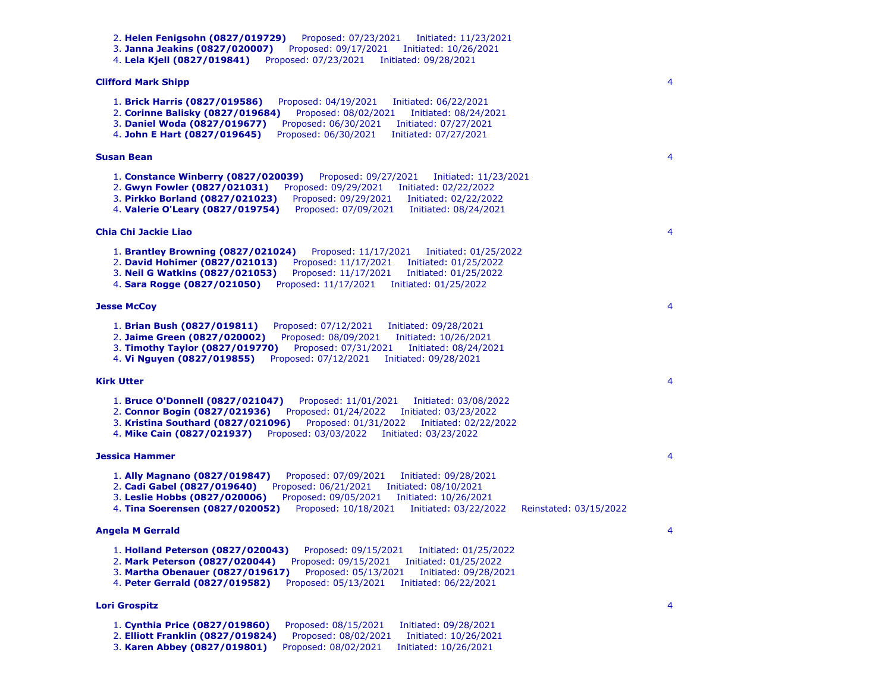```
2. Helen Fenigsohn (0827/019729) Proposed: 07/23/2021 Initiated: 11/23/2021 
   3. Janna Jeakins (0827/020007) Proposed: 09/17/2021 Initiated: 10/26/2021 
   4. Lela Kjell (0827/019841) Proposed: 07/23/2021 Initiated: 09/28/2021 
Clifford Mark Shipp
   1. Brick Harris (0827/019586) Proposed: 04/19/2021 Initiated: 06/22/2021 
   2. Corinne Balisky (0827/019684) Proposed: 08/02/2021 Initiated: 08/24/2021 
   3. Daniel Woda (0827/019677) Proposed: 06/30/2021 Initiated: 07/27/2021 
   4. John E Hart (0827/019645) Proposed: 06/30/2021 Initiated: 07/27/2021 
Susan Bean
   1. Constance Winberry (0827/020039) Proposed: 09/27/2021 Initiated: 11/23/2021 
   2. Gwyn Fowler (0827/021031) Proposed: 09/29/2021 Initiated: 02/22/2022 
                                      3. Pirkko Borland (0827/021023) Proposed: 09/29/2021 Initiated: 02/22/2022 
   4. Valerie O'Leary (0827/019754) Proposed: 07/09/2021 Initiated: 08/24/2021 
Chia Chi Jackie Liao
   1. Brantley Browning (0827/021024) Proposed: 11/17/2021 Initiated: 01/25/2022 
   2. David Hohimer (0827/021013) Proposed: 11/17/2021 Initiated: 01/25/2022 
   3. Neil G Watkins (0827/021053) Proposed: 11/17/2021 Initiated: 01/25/2022 
   4. Sara Rogge (0827/021050) Proposed: 11/17/2021 Initiated: 01/25/2022 
Jesse McCoy
   1. Brian Bush (0827/019811) Proposed: 07/12/2021 Initiated: 09/28/2021 
   2. Jaime Green (0827/020002) Proposed: 08/09/2021 Initiated: 10/26/2021 
   3. Timothy Taylor (0827/019770) Proposed: 07/31/2021 Initiated: 08/24/2021 
   4. Vi Nguyen (0827/019855) Proposed: 07/12/2021 Initiated: 09/28/2021 
Kirk Utter
   1. Bruce O'Donnell (0827/021047) Proposed: 11/01/2021 Initiated: 03/08/2022 
   2. Connor Bogin (0827/021936) Proposed: 01/24/2022 Initiated: 03/23/2022 
   3. Kristina Southard (0827/021096) Proposed: 01/31/2022 Initiated: 02/22/2022 
   4. Mike Cain (0827/021937) Proposed: 03/03/2022 Initiated: 03/23/2022 
Jessica Hammer
   1. Ally Magnano (0827/019847) Proposed: 07/09/2021 Initiated: 09/28/2021 
   2. Cadi Gabel (0827/019640) Proposed: 06/21/2021 Initiated: 08/10/2021 
   3. Leslie Hobbs (0827/020006) Proposed: 09/05/2021 Initiated: 10/26/2021 
   4. Tina Soerensen (0827/020052) Proposed: 10/18/2021 Initiated: 03/22/2022 Reinstated: 03/15/2022 
Angela M Gerrald
   1. Holland Peterson (0827/020043) Proposed: 09/15/2021 Initiated: 01/25/2022 
   2. Mark Peterson (0827/020044) Proposed: 09/15/2021 Initiated: 01/25/2022 
   3. Martha Obenauer (0827/019617) Proposed: 05/13/2021 Initiated: 09/28/2021 
   4. Peter Gerrald (0827/019582) Proposed: 05/13/2021 Initiated: 06/22/2021 
Lori Grospitz
   1. Cynthia Price (0827/019860) Proposed: 08/15/2021 Initiated: 09/28/2021 
   2. Elliott Franklin (0827/019824) Proposed: 08/02/2021 Initiated: 10/26/2021
```
3. **Karen Abbey (0827/019801)** Proposed: 08/02/2021 Initiated: 10/26/2021

4

4

4

4

4

4

4

4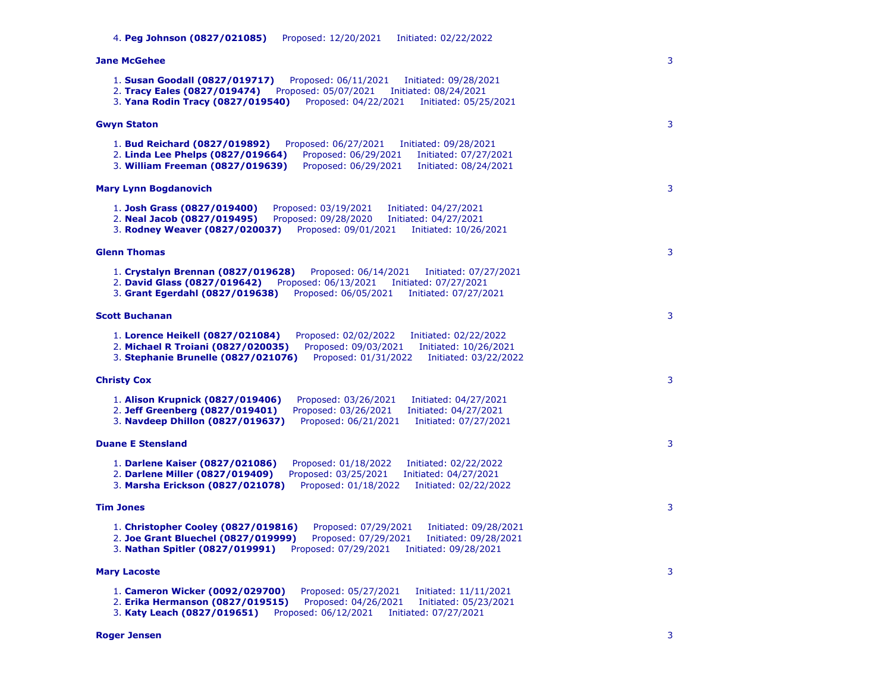| <b>Jane McGehee</b>                                                                                                                                                                                                                                              | 3 |
|------------------------------------------------------------------------------------------------------------------------------------------------------------------------------------------------------------------------------------------------------------------|---|
| 1. Susan Goodall (0827/019717)<br>Proposed: 06/11/2021<br>Initiated: 09/28/2021<br>2. Tracy Eales (0827/019474)<br>Proposed: 05/07/2021<br>Initiated: 08/24/2021<br>3. Yana Rodin Tracy (0827/019540)<br>Proposed: 04/22/2021<br>Initiated: 05/25/2021           |   |
| <b>Gwyn Staton</b>                                                                                                                                                                                                                                               | 3 |
| 1. Bud Reichard (0827/019892)<br>Proposed: 06/27/2021<br>Initiated: 09/28/2021<br>2. Linda Lee Phelps (0827/019664)<br>Proposed: 06/29/2021<br>Initiated: 07/27/2021<br>3. William Freeman (0827/019639)<br>Proposed: 06/29/2021<br>Initiated: 08/24/2021        |   |
| <b>Mary Lynn Bogdanovich</b>                                                                                                                                                                                                                                     | 3 |
| 1. Josh Grass (0827/019400)<br>Proposed: 03/19/2021<br>Initiated: 04/27/2021<br>2. Neal Jacob (0827/019495)<br>Proposed: 09/28/2020<br>Initiated: 04/27/2021<br>3. Rodney Weaver (0827/020037)<br>Proposed: 09/01/2021<br>Initiated: 10/26/2021                  |   |
| <b>Glenn Thomas</b>                                                                                                                                                                                                                                              | 3 |
| 1. Crystalyn Brennan (0827/019628)<br>Proposed: 06/14/2021<br>Initiated: 07/27/2021<br>2. David Glass (0827/019642)<br>Proposed: 06/13/2021    Initiated: 07/27/2021<br>3. Grant Egerdahl (0827/019638)<br>Proposed: 06/05/2021<br>Initiated: 07/27/2021         |   |
| <b>Scott Buchanan</b>                                                                                                                                                                                                                                            | 3 |
| 1. Lorence Heikell (0827/021084)<br>Proposed: 02/02/2022<br>Initiated: 02/22/2022<br>2. Michael R Troiani (0827/020035)<br>Proposed: 09/03/2021<br>Initiated: 10/26/2021<br>3. Stephanie Brunelle (0827/021076)<br>Proposed: 01/31/2022<br>Initiated: 03/22/2022 |   |
| <b>Christy Cox</b>                                                                                                                                                                                                                                               | 3 |
| 1. Alison Krupnick (0827/019406)<br>Proposed: 03/26/2021<br>Initiated: 04/27/2021<br>2. Jeff Greenberg (0827/019401)<br>Proposed: 03/26/2021<br>Initiated: 04/27/2021<br>3. Navdeep Dhillon (0827/019637)<br>Proposed: 06/21/2021<br>Initiated: 07/27/2021       |   |
| <b>Duane E Stensland</b>                                                                                                                                                                                                                                         | 3 |
| 1. Darlene Kaiser (0827/021086)<br>Proposed: 01/18/2022<br>Initiated: 02/22/2022<br>2. Darlene Miller (0827/019409)<br>Proposed: 03/25/2021<br>Initiated: 04/27/2021<br>3. Marsha Erickson (0827/021078)<br>Proposed: 01/18/2022<br>Initiated: 02/22/2022        |   |
| <b>Tim Jones</b>                                                                                                                                                                                                                                                 | 3 |
| 1. Christopher Cooley (0827/019816)<br>Proposed: 07/29/2021<br>Initiated: 09/28/2021<br>2. Joe Grant Bluechel (0827/019999)<br>Proposed: 07/29/2021<br>Initiated: 09/28/2021<br>3. Nathan Spitler (0827/019991)<br>Proposed: 07/29/2021<br>Initiated: 09/28/2021 |   |
| <b>Mary Lacoste</b>                                                                                                                                                                                                                                              | 3 |
| 1. Cameron Wicker (0092/029700)<br>Proposed: 05/27/2021<br>Initiated: 11/11/2021<br>Proposed: 04/26/2021<br>2. Erika Hermanson (0827/019515)<br>Initiated: 05/23/2021<br>3. Katy Leach (0827/019651)<br>Proposed: 06/12/2021<br>Initiated: 07/27/2021            |   |
| <b>Roger Jensen</b>                                                                                                                                                                                                                                              | 3 |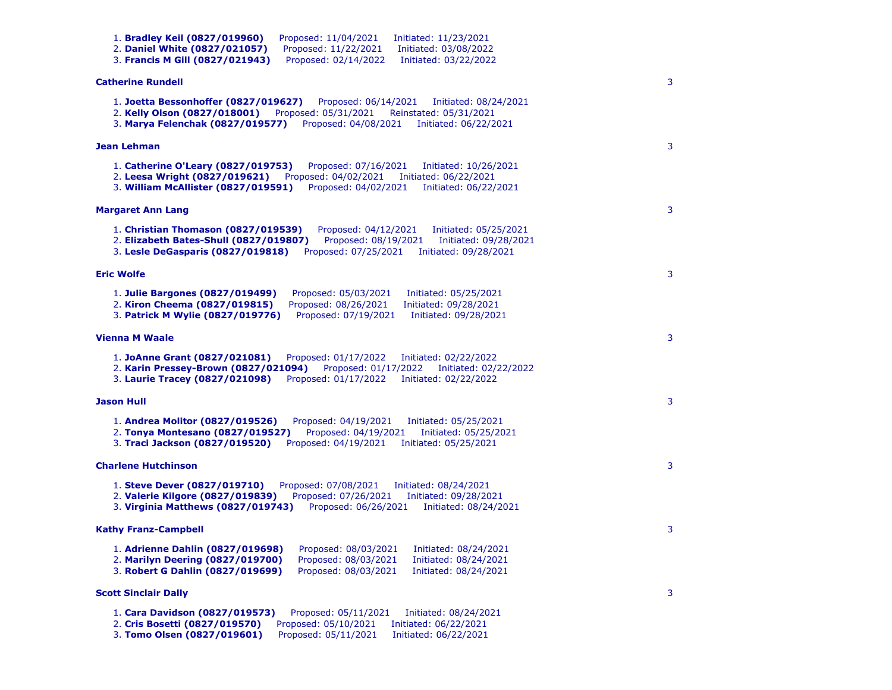| 1. Bradley Keil (0827/019960)<br>Proposed: 11/04/2021<br>Initiated: 11/23/2021<br>2. Daniel White (0827/021057)<br>Proposed: 11/22/2021<br>Initiated: 03/08/2022<br>3. Francis M Gill (0827/021943)<br>Proposed: 02/14/2022<br>Initiated: 03/22/2022                  |   |
|-----------------------------------------------------------------------------------------------------------------------------------------------------------------------------------------------------------------------------------------------------------------------|---|
| <b>Catherine Rundell</b>                                                                                                                                                                                                                                              | 3 |
| 1. Joetta Bessonhoffer (0827/019627)<br>Proposed: 06/14/2021<br>Initiated: 08/24/2021<br>2. Kelly Olson (0827/018001)<br>Proposed: 05/31/2021<br>Reinstated: 05/31/2021<br>3. Marya Felenchak (0827/019577)<br>Proposed: 04/08/2021<br>Initiated: 06/22/2021          |   |
| Jean Lehman                                                                                                                                                                                                                                                           | 3 |
| 1. Catherine O'Leary (0827/019753)<br>Proposed: 07/16/2021<br>Initiated: 10/26/2021<br>2. Leesa Wright (0827/019621)<br>Proposed: 04/02/2021<br>Initiated: 06/22/2021<br>3. William McAllister (0827/019591)<br>Proposed: 04/02/2021<br>Initiated: 06/22/2021         |   |
| <b>Margaret Ann Lang</b>                                                                                                                                                                                                                                              | 3 |
| 1. Christian Thomason (0827/019539)<br>Proposed: 04/12/2021<br>Initiated: 05/25/2021<br>2. Elizabeth Bates-Shull (0827/019807)<br>Proposed: 08/19/2021<br>Initiated: 09/28/2021<br>3. Lesle DeGasparis (0827/019818)<br>Proposed: 07/25/2021<br>Initiated: 09/28/2021 |   |
| <b>Eric Wolfe</b>                                                                                                                                                                                                                                                     | 3 |
| 1. Julie Bargones (0827/019499)<br>Proposed: 05/03/2021<br>Initiated: 05/25/2021<br>Proposed: 08/26/2021<br>2. Kiron Cheema (0827/019815)<br>Initiated: 09/28/2021<br>Proposed: 07/19/2021<br>3. <b>Patrick M Wylie (0827/019776)</b><br>Initiated: 09/28/2021        |   |
| <b>Vienna M Waale</b>                                                                                                                                                                                                                                                 | 3 |
| 1. JoAnne Grant (0827/021081)<br>Proposed: 01/17/2022<br>Initiated: 02/22/2022<br>2. Karin Pressey-Brown (0827/021094)<br>Proposed: 01/17/2022<br>Initiated: 02/22/2022<br>3. Laurie Tracey (0827/021098)<br>Proposed: 01/17/2022<br>Initiated: 02/22/2022            |   |
| <b>Jason Hull</b>                                                                                                                                                                                                                                                     | 3 |
| 1. Andrea Molitor (0827/019526)<br>Proposed: 04/19/2021<br>Initiated: 05/25/2021<br>2. Tonya Montesano (0827/019527)<br>Proposed: 04/19/2021<br>Initiated: 05/25/2021<br>3. Traci Jackson (0827/019520)<br>Proposed: 04/19/2021<br>Initiated: 05/25/2021              |   |
| <b>Charlene Hutchinson</b>                                                                                                                                                                                                                                            | 3 |
| Proposed: 07/08/2021<br>1. Steve Dever (0827/019710)<br>Initiated: 08/24/2021<br>2. Valerie Kilgore (0827/019839)<br>Proposed: 07/26/2021<br>Initiated: 09/28/2021<br>3. Virginia Matthews (0827/019743)<br>Proposed: 06/26/2021<br>Initiated: 08/24/2021             |   |
| <b>Kathy Franz-Campbell</b>                                                                                                                                                                                                                                           | 3 |
| 1. Adrienne Dahlin (0827/019698)<br>Proposed: 08/03/2021<br>Initiated: 08/24/2021<br>2. Marilyn Deering (0827/019700)<br>Proposed: 08/03/2021<br>Initiated: 08/24/2021<br>3. Robert G Dahlin (0827/019699)<br>Proposed: 08/03/2021<br>Initiated: 08/24/2021           |   |
| <b>Scott Sinclair Dally</b>                                                                                                                                                                                                                                           | 3 |
| 1. Cara Davidson (0827/019573)<br>Proposed: 05/11/2021<br>Initiated: 08/24/2021<br>2. Cris Bosetti (0827/019570)<br>Proposed: 05/10/2021<br>Initiated: 06/22/2021<br>3. Tomo Olsen (0827/019601)<br>Proposed: 05/11/2021<br>Initiated: 06/22/2021                     |   |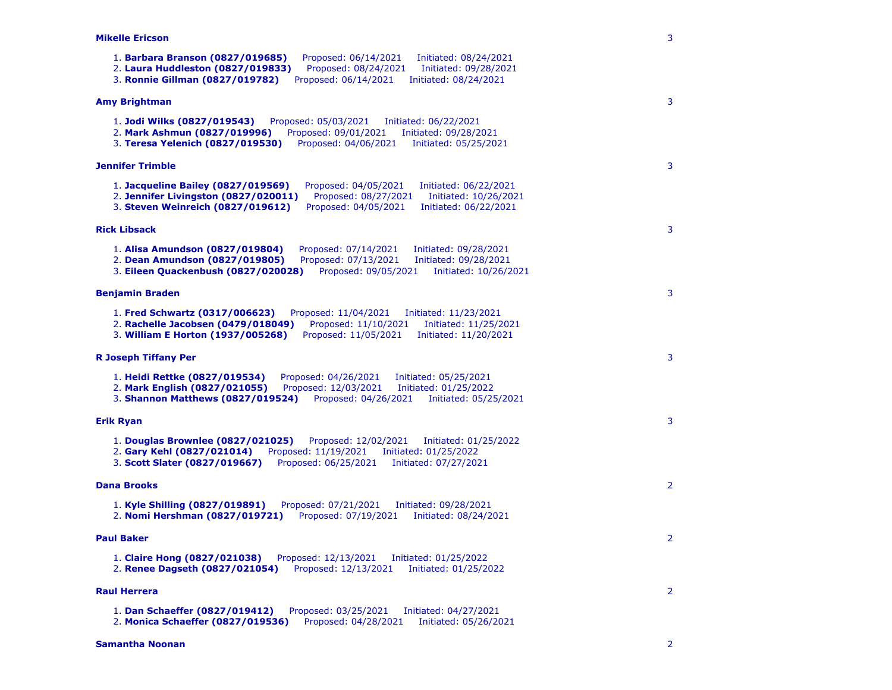### **Mikelle Ericson**

1. **Barbara Branson (0827/019685)** Proposed: 06/14/2021 Initiated: 08/24/2021 2. **Laura Huddleston (0827/019833)** Proposed: 08/24/2021 Initiated: 09/28/2021 3. **Ronnie Gillman (0827/019782)** Proposed: 06/14/2021 Initiated: 08/24/2021 **Amy Brightman** 1. **Jodi Wilks (0827/019543)** Proposed: 05/03/2021 Initiated: 06/22/2021 2. **Mark Ashmun (0827/019996)** Proposed: 09/01/2021 Initiated: 09/28/2021 3. **Teresa Yelenich (0827/019530)** Proposed: 04/06/2021 Initiated: 05/25/2021 **Jennifer Trimble** 1. **Jacqueline Bailey (0827/019569)** Proposed: 04/05/2021 Initiated: 06/22/2021 2. **Jennifer Livingston (0827/020011)** Proposed: 08/27/2021 Initiated: 10/26/2021 3. **Steven Weinreich (0827/019612)** Proposed: 04/05/2021 Initiated: 06/22/2021 **Rick Libsack** 1. **Alisa Amundson (0827/019804)** Proposed: 07/14/2021 Initiated: 09/28/2021 2. **Dean Amundson (0827/019805)** Proposed: 07/13/2021 Initiated: 09/28/2021 3. **Eileen Quackenbush (0827/020028)** Proposed: 09/05/2021 Initiated: 10/26/2021 **Benjamin Braden** 1. **Fred Schwartz (0317/006623)** Proposed: 11/04/2021 Initiated: 11/23/2021 2. **Rachelle Jacobsen (0479/018049)** Proposed: 11/10/2021 Initiated: 11/25/2021 3. **William E Horton (1937/005268)** Proposed: 11/05/2021 Initiated: 11/20/2021 **R Joseph Tiffany Per** 1. **Heidi Rettke (0827/019534)** Proposed: 04/26/2021 Initiated: 05/25/2021 2. **Mark English (0827/021055)** Proposed: 12/03/2021 Initiated: 01/25/2022 3. **Shannon Matthews (0827/019524)** Proposed: 04/26/2021 Initiated: 05/25/2021 **Erik Ryan** 1. **Douglas Brownlee (0827/021025)** Proposed: 12/02/2021 Initiated: 01/25/2022 2. **Gary Kehl (0827/021014)** Proposed: 11/19/2021 Initiated: 01/25/2022 3. **Scott Slater (0827/019667)** Proposed: 06/25/2021 Initiated: 07/27/2021 **Dana Brooks** 1. **Kyle Shilling (0827/019891)** Proposed: 07/21/2021 Initiated: 09/28/2021 2. **Nomi Hershman (0827/019721)** Proposed: 07/19/2021 Initiated: 08/24/2021 **Paul Baker** 1. **Claire Hong (0827/021038)** Proposed: 12/13/2021 Initiated: 01/25/2022 2. **Renee Dagseth (0827/021054)** Proposed: 12/13/2021 Initiated: 01/25/2022 **Raul Herrera** 1. **Dan Schaeffer (0827/019412)** Proposed: 03/25/2021 Initiated: 04/27/2021 2. **Monica Schaeffer (0827/019536)** Proposed: 04/28/2021 Initiated: 05/26/2021 **Samantha Noonan** 2

3

3

3

3

3

3

3

2

2

 $\overline{2}$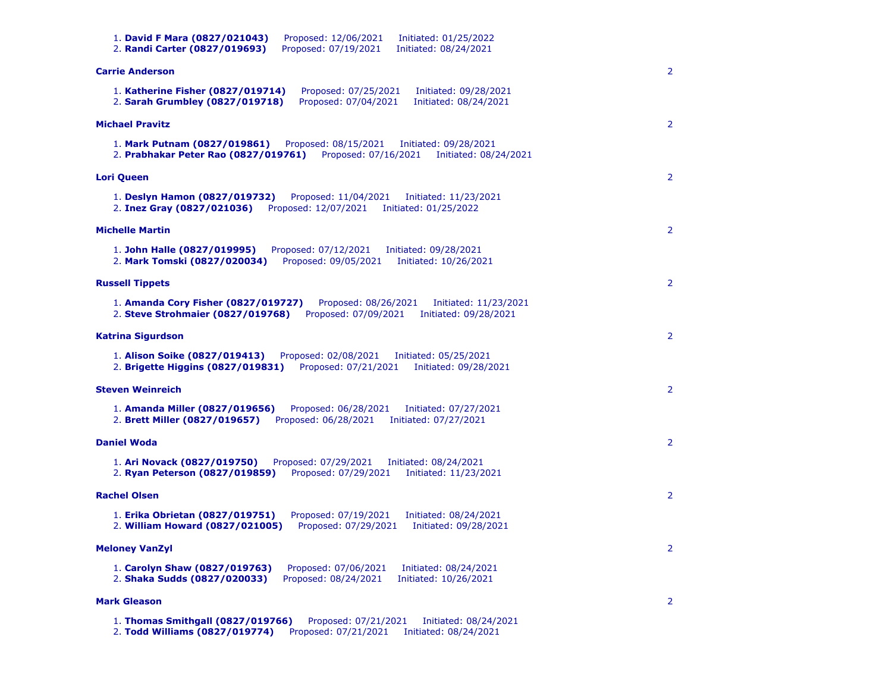| 1. David F Mara (0827/021043)<br>Proposed: 12/06/2021<br>Initiated: 01/25/2022<br>Proposed: 07/19/2021<br>2. Randi Carter (0827/019693)<br>Initiated: 08/24/2021           |                       |
|----------------------------------------------------------------------------------------------------------------------------------------------------------------------------|-----------------------|
| <b>Carrie Anderson</b>                                                                                                                                                     | $\overline{2}$        |
| 1. Katherine Fisher (0827/019714)<br>Proposed: 07/25/2021<br>Initiated: 09/28/2021<br>2. Sarah Grumbley (0827/019718)<br>Proposed: 07/04/2021<br>Initiated: 08/24/2021     |                       |
| <b>Michael Pravitz</b>                                                                                                                                                     | $\overline{2}$        |
| Proposed: 08/15/2021<br>1. Mark Putnam (0827/019861)<br>Initiated: 09/28/2021<br>2. Prabhakar Peter Rao (0827/019761)<br>Proposed: 07/16/2021<br>Initiated: 08/24/2021     |                       |
| <b>Lori Queen</b>                                                                                                                                                          | $\overline{2}$        |
| 1. Deslyn Hamon (0827/019732)<br>Proposed: 11/04/2021<br>Initiated: 11/23/2021<br>Proposed: 12/07/2021<br>2. Inez Gray (0827/021036)<br>Initiated: 01/25/2022              |                       |
| <b>Michelle Martin</b>                                                                                                                                                     | $\mathbf{2}$          |
| 1. John Halle (0827/019995)<br>Proposed: 07/12/2021<br>Initiated: 09/28/2021<br>2. Mark Tomski (0827/020034)<br>Proposed: 09/05/2021<br>Initiated: 10/26/2021              |                       |
| <b>Russell Tippets</b>                                                                                                                                                     | $\overline{2}$        |
| Proposed: 08/26/2021<br>1. Amanda Cory Fisher (0827/019727)<br>Initiated: 11/23/2021<br>2. Steve Strohmaier (0827/019768)<br>Proposed: 07/09/2021<br>Initiated: 09/28/2021 |                       |
| Katrina Sigurdson                                                                                                                                                          | $\overline{2}$        |
| 1. Alison Soike (0827/019413)<br>Proposed: 02/08/2021<br>Initiated: 05/25/2021<br>2. Brigette Higgins (0827/019831)<br>Proposed: 07/21/2021<br>Initiated: 09/28/2021       |                       |
| <b>Steven Weinreich</b>                                                                                                                                                    | $\overline{2}$        |
| 1. Amanda Miller (0827/019656)<br>Proposed: 06/28/2021<br>Initiated: 07/27/2021<br>2. Brett Miller (0827/019657)<br>Proposed: 06/28/2021<br>Initiated: 07/27/2021          |                       |
| <b>Daniel Woda</b>                                                                                                                                                         | $\overline{2}$        |
| 1. Ari Novack (0827/019750)<br>Proposed: 07/29/2021<br>Initiated: 08/24/2021<br>Proposed: 07/29/2021<br>2. Ryan Peterson (0827/019859)<br>Initiated: 11/23/2021            |                       |
| <b>Rachel Olsen</b>                                                                                                                                                        | $\overline{2}$        |
| 1. Erika Obrietan (0827/019751)<br>Proposed: 07/19/2021<br>Initiated: 08/24/2021<br>2. William Howard (0827/021005)<br>Proposed: 07/29/2021<br>Initiated: 09/28/2021       |                       |
| <b>Meloney VanZyl</b>                                                                                                                                                      | 2                     |
| 1. Carolyn Shaw (0827/019763)<br>Proposed: 07/06/2021<br>Initiated: 08/24/2021<br>2. Shaka Sudds (0827/020033)<br>Proposed: 08/24/2021<br>Initiated: 10/26/2021            |                       |
| <b>Mark Gleason</b>                                                                                                                                                        | $\mathbf{2}^{\prime}$ |
| 1. Thomas Smithgall (0827/019766)<br>Proposed: 07/21/2021<br>Initiated: 08/24/2021<br>2. Todd Williams (0827/019774)<br>Proposed: 07/21/2021<br>Initiated: 08/24/2021      |                       |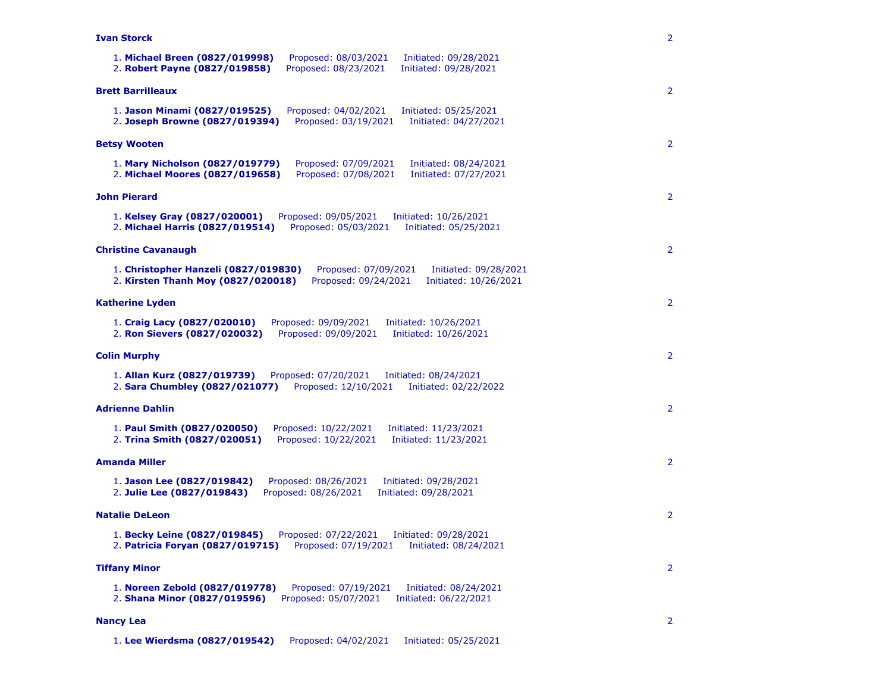**Ivan Storck**

| 1. Michael Breen (0827/019998)<br>Proposed: 08/03/2021<br>Initiated: 09/28/2021<br>2. Robert Payne (0827/019858)<br>Proposed: 08/23/2021<br>Initiated: 09/28/2021            |
|------------------------------------------------------------------------------------------------------------------------------------------------------------------------------|
| <b>Brett Barrilleaux</b>                                                                                                                                                     |
| 1. Jason Minami (0827/019525)<br>Proposed: 04/02/2021<br>Initiated: 05/25/2021<br>2. Joseph Browne (0827/019394)<br>Proposed: 03/19/2021<br>Initiated: 04/27/2021            |
| <b>Betsy Wooten</b>                                                                                                                                                          |
| 1. Mary Nicholson (0827/019779)<br>Proposed: 07/09/2021<br>Initiated: 08/24/2021<br>2. Michael Moores (0827/019658)<br>Proposed: 07/08/2021<br>Initiated: 07/27/2021         |
| <b>John Pierard</b>                                                                                                                                                          |
| Proposed: 09/05/2021<br>1. Kelsey Gray (0827/020001)<br>Initiated: 10/26/2021<br>2. Michael Harris (0827/019514)<br>Proposed: 05/03/2021<br>Initiated: 05/25/2021            |
| <b>Christine Cavanaugh</b>                                                                                                                                                   |
| 1. Christopher Hanzeli (0827/019830)<br>Proposed: 07/09/2021<br>Initiated: 09/28/2021<br>Proposed: 09/24/2021<br>2. Kirsten Thanh Moy (0827/020018)<br>Initiated: 10/26/2021 |
| <b>Katherine Lyden</b>                                                                                                                                                       |
| 1. Craig Lacy (0827/020010)<br>Proposed: 09/09/2021<br>Initiated: 10/26/2021<br>2. Ron Sievers (0827/020032)<br>Proposed: 09/09/2021<br>Initiated: 10/26/2021                |
| <b>Colin Murphy</b>                                                                                                                                                          |
| 1. Allan Kurz (0827/019739)<br>Proposed: 07/20/2021<br>Initiated: 08/24/2021<br>2. Sara Chumbley (0827/021077)<br>Proposed: 12/10/2021<br>Initiated: 02/22/2022              |
| <b>Adrienne Dahlin</b>                                                                                                                                                       |
| 1. Paul Smith (0827/020050)<br>Proposed: 10/22/2021<br>Initiated: 11/23/2021<br>2. Trina Smith (0827/020051)<br>Proposed: 10/22/2021<br>Initiated: 11/23/2021                |
| <b>Amanda Miller</b>                                                                                                                                                         |
| Proposed: 08/26/2021<br>1. Jason Lee (0827/019842)<br>Initiated: 09/28/2021<br>Proposed: 08/26/2021<br>2. Julie Lee (0827/019843)<br>Initiated: 09/28/2021                   |
| <b>Natalie DeLeon</b>                                                                                                                                                        |
| 1. Becky Leine (0827/019845)<br>Proposed: 07/22/2021<br>Initiated: 09/28/2021<br>2. Patricia Foryan (0827/019715)<br>Proposed: 07/19/2021<br>Initiated: 08/24/2021           |
| <b>Tiffany Minor</b>                                                                                                                                                         |
| 1. Noreen Zebold (0827/019778)<br>Proposed: 07/19/2021<br>Initiated: 08/24/2021<br>2. Shana Minor (0827/019596)<br>Proposed: 05/07/2021<br>Initiated: 06/22/2021             |
| <b>Nancy Lea</b>                                                                                                                                                             |

2

2

2

2

2

2

2

2

2

2

2

2

1. **Lee Wierdsma (0827/019542)** Proposed: 04/02/2021 Initiated: 05/25/2021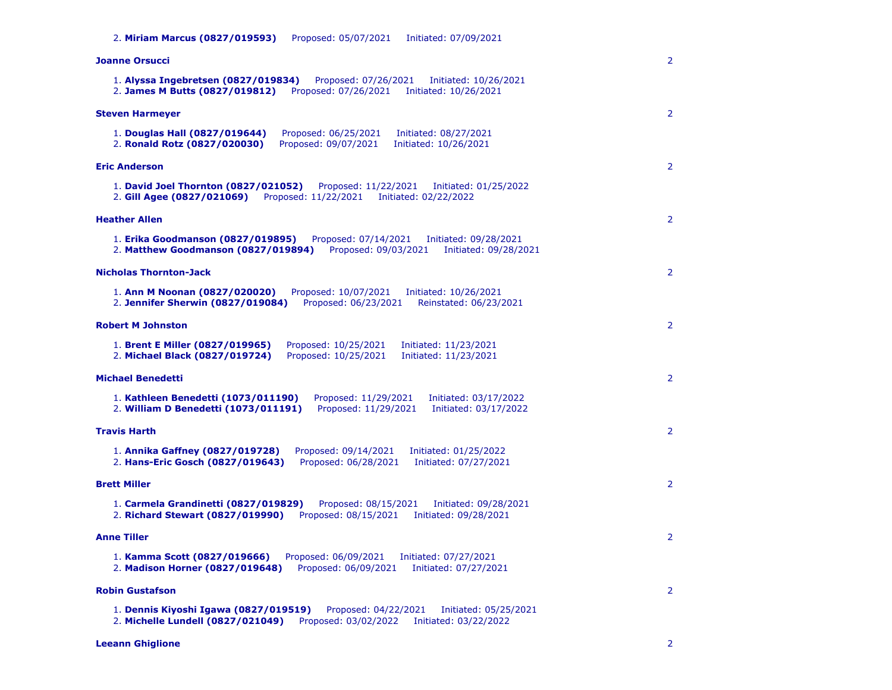2. **Miriam Marcus (0827/019593)** Proposed: 05/07/2021 Initiated: 07/09/2021

| Joanne Orsucci                                                                                                                                                                | $\overline{2}$ |
|-------------------------------------------------------------------------------------------------------------------------------------------------------------------------------|----------------|
| 1. Alyssa Ingebretsen (0827/019834)<br>Proposed: 07/26/2021<br>Initiated: 10/26/2021<br>2. James M Butts (0827/019812)<br>Proposed: 07/26/2021<br>Initiated: 10/26/2021       |                |
| <b>Steven Harmeyer</b>                                                                                                                                                        | $\overline{2}$ |
| 1. Douglas Hall (0827/019644)<br>Proposed: 06/25/2021<br>Initiated: 08/27/2021<br>2. Ronald Rotz (0827/020030)<br>Proposed: 09/07/2021<br>Initiated: 10/26/2021               |                |
| <b>Eric Anderson</b>                                                                                                                                                          | $\overline{2}$ |
| 1. David Joel Thornton (0827/021052)<br>Proposed: 11/22/2021<br>Initiated: 01/25/2022<br>2. Gill Agee (0827/021069)<br>Proposed: 11/22/2021<br>Initiated: 02/22/2022          |                |
| <b>Heather Allen</b>                                                                                                                                                          | $\overline{2}$ |
| 1. Erika Goodmanson (0827/019895)<br>Proposed: 07/14/2021<br>Initiated: 09/28/2021<br>2. Matthew Goodmanson (0827/019894)<br>Proposed: 09/03/2021<br>Initiated: 09/28/2021    |                |
| <b>Nicholas Thornton-Jack</b>                                                                                                                                                 | $\overline{2}$ |
| Proposed: 10/07/2021<br>1. Ann M Noonan (0827/020020)<br>Initiated: 10/26/2021<br>2. Jennifer Sherwin (0827/019084)<br>Proposed: 06/23/2021<br>Reinstated: 06/23/2021         |                |
| <b>Robert M Johnston</b>                                                                                                                                                      | $\overline{2}$ |
| 1. Brent E Miller (0827/019965)<br>Proposed: 10/25/2021<br>Initiated: 11/23/2021<br>Proposed: 10/25/2021<br>2. Michael Black (0827/019724)<br>Initiated: 11/23/2021           |                |
| <b>Michael Benedetti</b>                                                                                                                                                      | $\overline{2}$ |
| 1. Kathleen Benedetti (1073/011190)<br>Proposed: 11/29/2021<br>Initiated: 03/17/2022<br>Proposed: 11/29/2021<br>2. William D Benedetti (1073/011191)<br>Initiated: 03/17/2022 |                |
| <b>Travis Harth</b>                                                                                                                                                           | $\overline{2}$ |
| 1. Annika Gaffney (0827/019728)<br>Proposed: 09/14/2021<br>Initiated: 01/25/2022<br>2. Hans-Eric Gosch (0827/019643)<br>Proposed: 06/28/2021<br>Initiated: 07/27/2021         |                |
| <b>Brett Miller</b>                                                                                                                                                           | $\overline{2}$ |
| 1. Carmela Grandinetti (0827/019829)<br>Proposed: 08/15/2021<br>Initiated: 09/28/2021<br>2. Richard Stewart (0827/019990)<br>Proposed: 08/15/2021<br>Initiated: 09/28/2021    |                |
| <b>Anne Tiller</b>                                                                                                                                                            | $\overline{2}$ |
| 1. Kamma Scott (0827/019666)<br>Proposed: 06/09/2021<br>Initiated: 07/27/2021<br>2. Madison Horner (0827/019648)<br>Proposed: 06/09/2021<br>Initiated: 07/27/2021             |                |
| <b>Robin Gustafson</b>                                                                                                                                                        | $\overline{2}$ |
| 1. Dennis Kiyoshi Igawa (0827/019519)<br>Proposed: 04/22/2021<br>Initiated: 05/25/2021<br>2. Michelle Lundell (0827/021049)<br>Proposed: 03/02/2022<br>Initiated: 03/22/2022  |                |

**Leeann Ghiglione** 2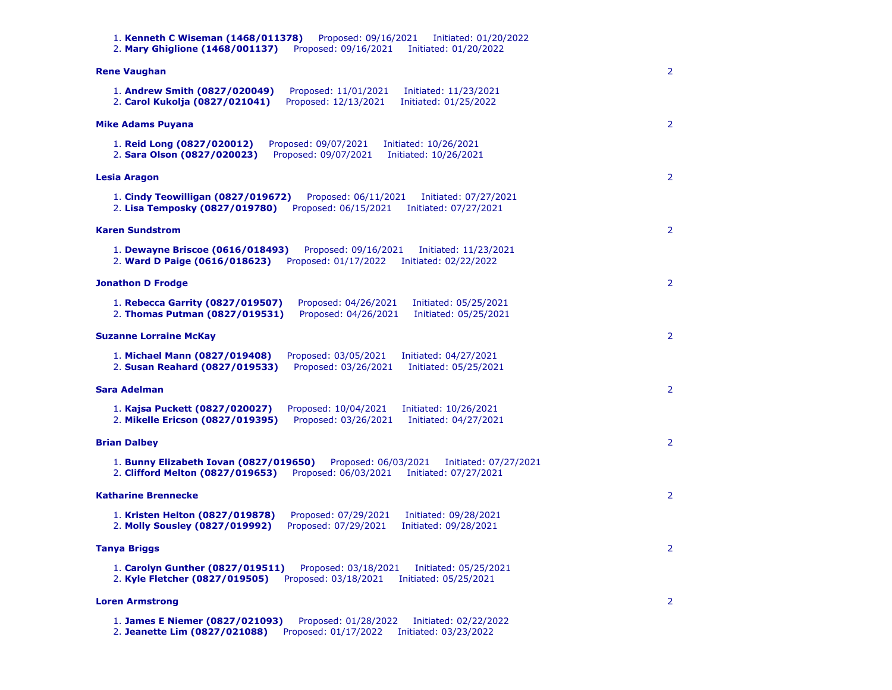1. **Kenneth C Wiseman (1468/011378)** Proposed: 09/16/2021 Initiated: 01/20/2022 2. **Mary Ghiglione (1468/001137)** Proposed: 09/16/2021 Initiated: 01/20/2022 **Rene Vaughan** 1. **Andrew Smith (0827/020049)** Proposed: 11/01/2021 Initiated: 11/23/2021 2. **Carol Kukolja (0827/021041)** Proposed: 12/13/2021 Initiated: 01/25/2022 2 **Mike Adams Puyana** 1. **Reid Long (0827/020012)** Proposed: 09/07/2021 Initiated: 10/26/2021 2. **Sara Olson (0827/020023)** Proposed: 09/07/2021 Initiated: 10/26/2021  $\overline{2}$ **Lesia Aragon** 1. **Cindy Teowilligan (0827/019672)** Proposed: 06/11/2021 Initiated: 07/27/2021 2. **Lisa Temposky (0827/019780)** Proposed: 06/15/2021 Initiated: 07/27/2021 2 **Karen Sundstrom** 1. **Dewayne Briscoe (0616/018493)** Proposed: 09/16/2021 Initiated: 11/23/2021 2. **Ward D Paige (0616/018623)** Proposed: 01/17/2022 Initiated: 02/22/2022 2 **Jonathon D Frodge** 1. **Rebecca Garrity (0827/019507)** Proposed: 04/26/2021 Initiated: 05/25/2021 2. **Thomas Putman (0827/019531)** Proposed: 04/26/2021 Initiated: 05/25/2021 2 **Suzanne Lorraine McKay** 1. **Michael Mann (0827/019408)** Proposed: 03/05/2021 Initiated: 04/27/2021 2. **Susan Reahard (0827/019533)** Proposed: 03/26/2021 Initiated: 05/25/2021 2 **Sara Adelman** 1. **Kajsa Puckett (0827/020027)** Proposed: 10/04/2021 Initiated: 10/26/2021 2. **Mikelle Ericson (0827/019395)** Proposed: 03/26/2021 Initiated: 04/27/2021 2 **Brian Dalbey** 1. **Bunny Elizabeth Iovan (0827/019650)** Proposed: 06/03/2021 Initiated: 07/27/2021 2. **Clifford Melton (0827/019653)** Proposed: 06/03/2021 Initiated: 07/27/2021 2 **Katharine Brennecke** 1. **Kristen Helton (0827/019878)** Proposed: 07/29/2021 Initiated: 09/28/2021 2. **Molly Sousley (0827/019992)** Proposed: 07/29/2021 Initiated: 09/28/2021 2 **Tanya Briggs** 1. **Carolyn Gunther (0827/019511)** Proposed: 03/18/2021 Initiated: 05/25/2021 2. **Kyle Fletcher (0827/019505)** Proposed: 03/18/2021 Initiated: 05/25/2021 2 **Loren Armstrong** 1. **James E Niemer (0827/021093)** Proposed: 01/28/2022 Initiated: 02/22/2022 2. **Jeanette Lim (0827/021088)** Proposed: 01/17/2022 Initiated: 03/23/2022 2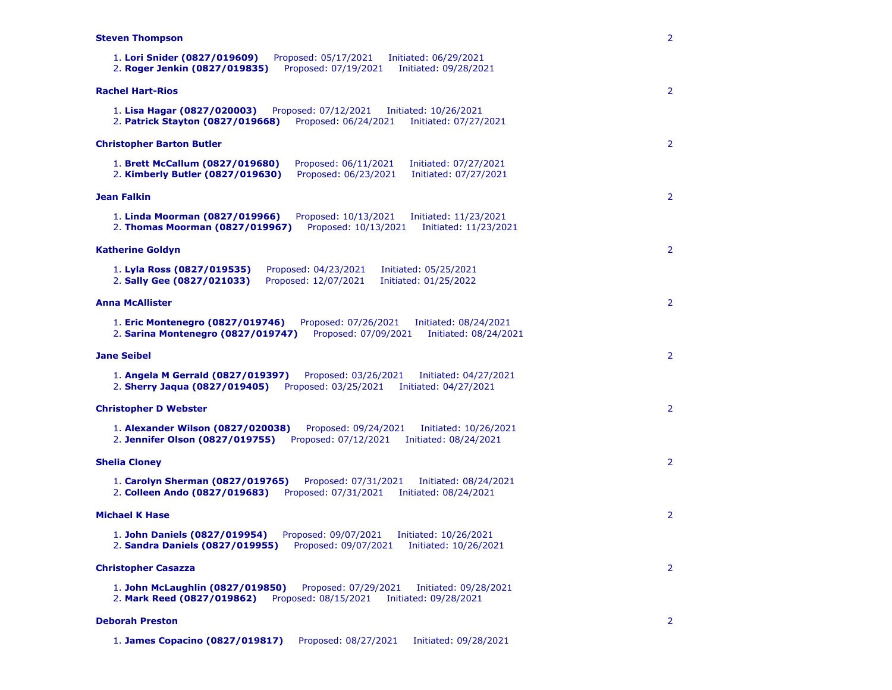# **Steven Thompson**

| 1. Lori Snider (0827/019609)<br>Proposed: 05/17/2021<br>Initiated: 06/29/2021<br>2. Roger Jenkin (0827/019835)<br>Proposed: 07/19/2021<br>Initiated: 09/28/2021          |
|--------------------------------------------------------------------------------------------------------------------------------------------------------------------------|
| <b>Rachel Hart-Rios</b>                                                                                                                                                  |
| 1. Lisa Hagar (0827/020003)<br>Proposed: 07/12/2021<br>Initiated: 10/26/2021<br>2. Patrick Stayton (0827/019668)<br>Proposed: 06/24/2021<br>Initiated: 07/27/2021        |
| <b>Christopher Barton Butler</b>                                                                                                                                         |
| Proposed: 06/11/2021<br>1. Brett McCallum (0827/019680)<br>Initiated: 07/27/2021<br>2. Kimberly Butler (0827/019630)<br>Proposed: 06/23/2021<br>Initiated: 07/27/2021    |
| Jean Falkin                                                                                                                                                              |
| 1. Linda Moorman (0827/019966)<br>Proposed: 10/13/2021<br>Initiated: 11/23/2021<br>Proposed: 10/13/2021<br>2. Thomas Moorman (0827/019967)<br>Initiated: 11/23/2021      |
| <b>Katherine Goldyn</b>                                                                                                                                                  |
| 1. Lyla Ross (0827/019535)<br>Proposed: 04/23/2021<br>Initiated: 05/25/2021<br>2. Sally Gee (0827/021033)<br>Proposed: 12/07/2021<br>Initiated: 01/25/2022               |
| <b>Anna McAllister</b>                                                                                                                                                   |
| 1. Eric Montenegro (0827/019746)<br>Proposed: 07/26/2021<br>Initiated: 08/24/2021<br>2. Sarina Montenegro (0827/019747)<br>Proposed: 07/09/2021<br>Initiated: 08/24/2021 |
| <b>Jane Seibel</b>                                                                                                                                                       |
| 1. Angela M Gerrald (0827/019397)<br>Proposed: 03/26/2021<br>Initiated: 04/27/2021<br>2. Sherry Jaqua (0827/019405)<br>Proposed: 03/25/2021<br>Initiated: 04/27/2021     |
| <b>Christopher D Webster</b>                                                                                                                                             |
| 1. Alexander Wilson (0827/020038)<br>Proposed: 09/24/2021<br>Initiated: 10/26/2021<br>Proposed: 07/12/2021<br>2. Jennifer Olson (0827/019755)<br>Initiated: 08/24/2021   |
| <b>Shelia Cloney</b>                                                                                                                                                     |
| 1. Carolyn Sherman (0827/019765)<br>Proposed: 07/31/2021<br>Initiated: 08/24/2021<br>2. Colleen Ando (0827/019683)<br>Proposed: 07/31/2021<br>Initiated: 08/24/2021      |
| <b>Michael K Hase</b>                                                                                                                                                    |
| 1. John Daniels (0827/019954)<br>Proposed: 09/07/2021<br>Initiated: 10/26/2021<br>2. Sandra Daniels (0827/019955)<br>Proposed: 09/07/2021<br>Initiated: 10/26/2021       |
| <b>Christopher Casazza</b>                                                                                                                                               |
| 1. John McLaughlin (0827/019850)<br>Proposed: 07/29/2021<br>Initiated: 09/28/2021<br>Proposed: 08/15/2021<br>2. Mark Reed (0827/019862)<br>Initiated: 09/28/2021         |
| <b>Deborah Preston</b>                                                                                                                                                   |

2

2

2

2

2

2

2

2

2

2

2

2

1. **James Copacino (0827/019817)** Proposed: 08/27/2021 Initiated: 09/28/2021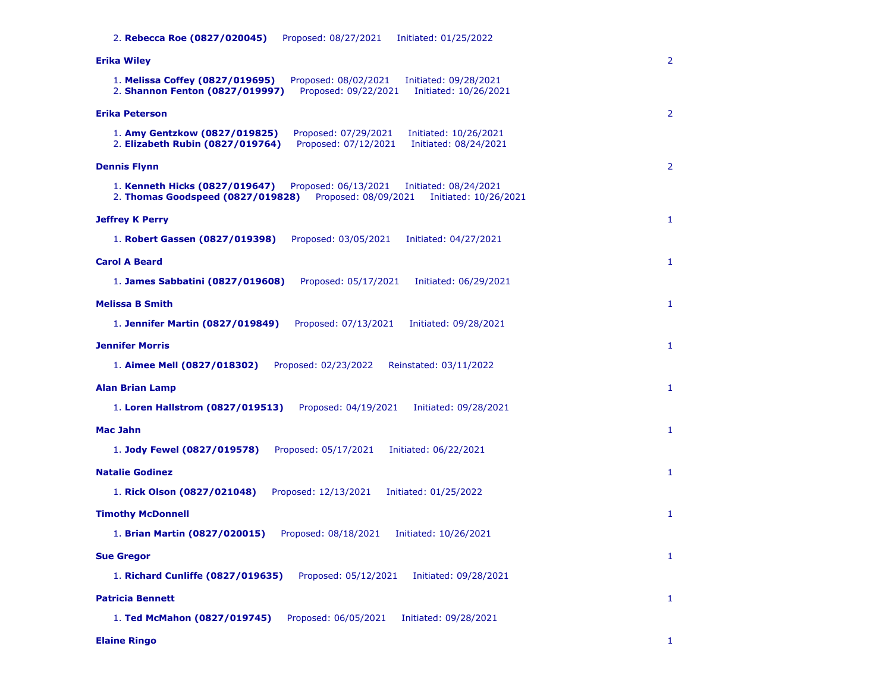2. **Rebecca Roe (0827/020045)** Proposed: 08/27/2021 Initiated: 01/25/2022

| Erika Wiley                                                                                                                                                           | 2            |
|-----------------------------------------------------------------------------------------------------------------------------------------------------------------------|--------------|
| 1. Melissa Coffey (0827/019695)<br>Proposed: 08/02/2021<br>Initiated: 09/28/2021<br>2. Shannon Fenton (0827/019997)<br>Proposed: 09/22/2021<br>Initiated: 10/26/2021  |              |
| <b>Erika Peterson</b>                                                                                                                                                 | 2            |
| 1. Amy Gentzkow (0827/019825)<br>Proposed: 07/29/2021<br>Initiated: 10/26/2021<br>2. Elizabeth Rubin (0827/019764)<br>Proposed: 07/12/2021<br>Initiated: 08/24/2021   |              |
| <b>Dennis Flynn</b>                                                                                                                                                   | 2            |
| 1. Kenneth Hicks (0827/019647)<br>Proposed: 06/13/2021<br>Initiated: 08/24/2021<br>2. Thomas Goodspeed (0827/019828)<br>Proposed: 08/09/2021<br>Initiated: 10/26/2021 |              |
| <b>Jeffrey K Perry</b>                                                                                                                                                | 1            |
| 1. Robert Gassen (0827/019398)<br>Proposed: 03/05/2021<br>Initiated: 04/27/2021                                                                                       |              |
| <b>Carol A Beard</b>                                                                                                                                                  | $\mathbf{1}$ |
| 1. James Sabbatini (0827/019608)<br>Proposed: 05/17/2021<br>Initiated: 06/29/2021                                                                                     |              |
| <b>Melissa B Smith</b>                                                                                                                                                | $\mathbf{1}$ |
| Proposed: 07/13/2021<br>1. Jennifer Martin (0827/019849)<br>Initiated: 09/28/2021                                                                                     |              |
| <b>Jennifer Morris</b>                                                                                                                                                | $\mathbf{1}$ |
| 1. Aimee Mell (0827/018302)<br>Proposed: 02/23/2022<br>Reinstated: 03/11/2022                                                                                         |              |
| <b>Alan Brian Lamp</b>                                                                                                                                                | 1            |
| 1. Loren Hallstrom (0827/019513)<br>Proposed: 04/19/2021<br>Initiated: 09/28/2021                                                                                     |              |
| Mac Jahn                                                                                                                                                              | 1            |
| Proposed: 05/17/2021<br>Initiated: 06/22/2021<br>1. Jody Fewel (0827/019578)                                                                                          |              |
| <b>Natalie Godinez</b>                                                                                                                                                | 1            |
| Proposed: 12/13/2021<br>1. Rick Olson (0827/021048)<br>Initiated: 01/25/2022                                                                                          |              |
| <b>Timothy McDonnell</b>                                                                                                                                              | $\mathbf{1}$ |
| 1. Brian Martin (0827/020015)<br>Proposed: 08/18/2021<br>Initiated: 10/26/2021                                                                                        |              |
| <b>Sue Gregor</b>                                                                                                                                                     | 1            |
| 1. Richard Cunliffe (0827/019635)<br>Proposed: 05/12/2021<br>Initiated: 09/28/2021                                                                                    |              |
| <b>Patricia Bennett</b>                                                                                                                                               | $\mathbf{1}$ |
| 1. Ted McMahon (0827/019745)<br>Proposed: 06/05/2021<br>Initiated: 09/28/2021                                                                                         |              |
| <b>Elaine Ringo</b>                                                                                                                                                   | 1            |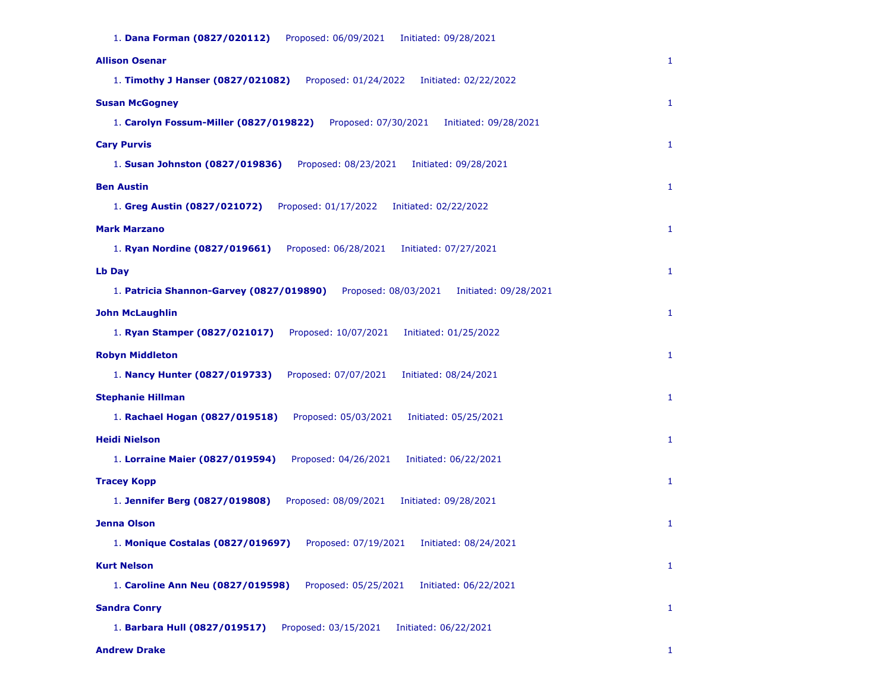| <b>Allison Osenar</b>                                                                     | 1            |
|-------------------------------------------------------------------------------------------|--------------|
| 1. Timothy J Hanser (0827/021082)<br>Proposed: 01/24/2022<br>Initiated: 02/22/2022        |              |
| <b>Susan McGogney</b>                                                                     | 1            |
| 1. Carolyn Fossum-Miller (0827/019822)<br>Proposed: 07/30/2021<br>Initiated: 09/28/2021   |              |
| <b>Cary Purvis</b>                                                                        | $\mathbf{1}$ |
| 1. Susan Johnston (0827/019836)<br>Proposed: 08/23/2021<br>Initiated: 09/28/2021          |              |
| <b>Ben Austin</b>                                                                         | 1            |
| 1. Greg Austin (0827/021072)<br>Proposed: 01/17/2022<br>Initiated: 02/22/2022             |              |
| <b>Mark Marzano</b>                                                                       | $\mathbf{1}$ |
| 1. Ryan Nordine (0827/019661)<br>Proposed: 06/28/2021<br>Initiated: 07/27/2021            |              |
| Lb Day                                                                                    | $\mathbf{1}$ |
| 1. Patricia Shannon-Garvey (0827/019890)<br>Proposed: 08/03/2021<br>Initiated: 09/28/2021 |              |
| <b>John McLaughlin</b>                                                                    | $\mathbf{1}$ |
| Proposed: 10/07/2021<br>1. Ryan Stamper (0827/021017)<br>Initiated: 01/25/2022            |              |
| <b>Robyn Middleton</b>                                                                    | 1            |
| 1. Nancy Hunter (0827/019733)<br>Proposed: 07/07/2021<br>Initiated: 08/24/2021            |              |
| <b>Stephanie Hillman</b>                                                                  | $\mathbf{1}$ |
| 1. Rachael Hogan (0827/019518)<br>Proposed: 05/03/2021<br>Initiated: 05/25/2021           |              |
| <b>Heidi Nielson</b>                                                                      | 1            |
| 1. Lorraine Maier (0827/019594)<br>Proposed: 04/26/2021<br>Initiated: 06/22/2021          |              |
| <b>Tracey Kopp</b>                                                                        | $\mathbf{1}$ |
| 1. Jennifer Berg (0827/019808)<br>Proposed: 08/09/2021<br>Initiated: 09/28/2021           |              |
| <b>Jenna Olson</b>                                                                        | $\mathbf{1}$ |
| 1. Monique Costalas (0827/019697)<br>Proposed: 07/19/2021<br>Initiated: 08/24/2021        |              |
| <b>Kurt Nelson</b>                                                                        | $\mathbf{1}$ |
| 1. Caroline Ann Neu (0827/019598)<br>Proposed: 05/25/2021<br>Initiated: 06/22/2021        |              |
| <b>Sandra Conry</b>                                                                       | $\mathbf{1}$ |
| 1. Barbara Hull (0827/019517)<br>Proposed: 03/15/2021<br>Initiated: 06/22/2021            |              |

**Andrew Drake** 1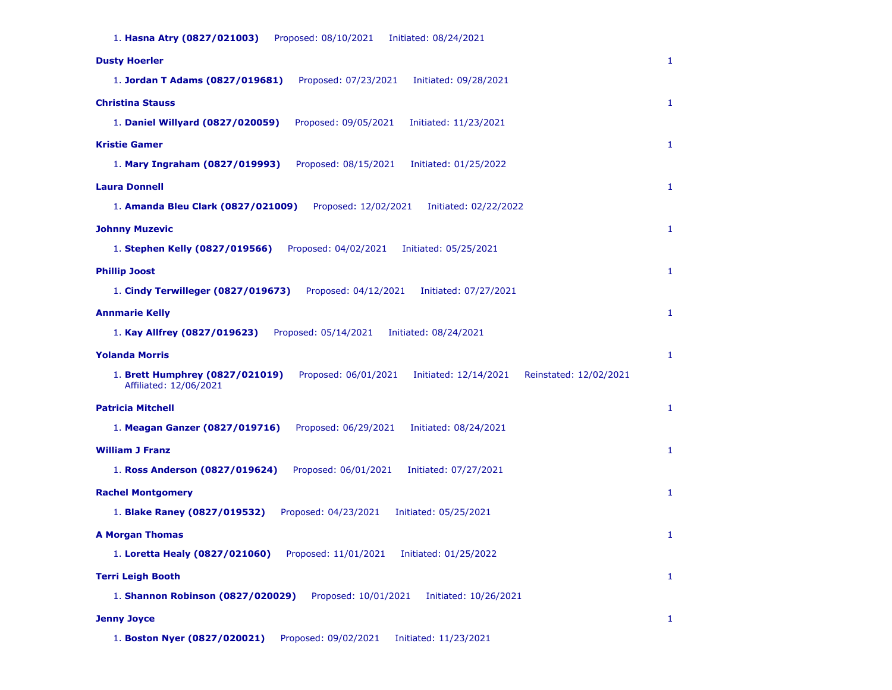1. **Hasna Atry (0827/021003)** Proposed: 08/10/2021 Initiated: 08/24/2021 **Dusty Hoerler** 1. **Jordan T Adams (0827/019681)** Proposed: 07/23/2021 Initiated: 09/28/2021 1 **Christina Stauss** 1. **Daniel Willyard (0827/020059)** Proposed: 09/05/2021 Initiated: 11/23/2021 1 **Kristie Gamer** 1. **Mary Ingraham (0827/019993)** Proposed: 08/15/2021 Initiated: 01/25/2022 1 **Laura Donnell** 1. **Amanda Bleu Clark (0827/021009)** Proposed: 12/02/2021 Initiated: 02/22/2022 1 **Johnny Muzevic** 1. **Stephen Kelly (0827/019566)** Proposed: 04/02/2021 Initiated: 05/25/2021 1 **Phillip Joost** 1. **Cindy Terwilleger (0827/019673)** Proposed: 04/12/2021 Initiated: 07/27/2021 1 **Annmarie Kelly** 1. **Kay Allfrey (0827/019623)** Proposed: 05/14/2021 Initiated: 08/24/2021 1 **Yolanda Morris** 1. **Brett Humphrey (0827/021019)** Proposed: 06/01/2021 Initiated: 12/14/2021 Reinstated: 12/02/2021 Affiliated: 12/06/2021 1 **Patricia Mitchell** 1. **Meagan Ganzer (0827/019716)** Proposed: 06/29/2021 Initiated: 08/24/2021 1 **William J Franz** 1. **Ross Anderson (0827/019624)** Proposed: 06/01/2021 Initiated: 07/27/2021 1 **Rachel Montgomery** 1. **Blake Raney (0827/019532)** Proposed: 04/23/2021 Initiated: 05/25/2021 1 **A Morgan Thomas** 1. **Loretta Healy (0827/021060)** Proposed: 11/01/2021 Initiated: 01/25/2022 1 **Terri Leigh Booth** 1. **Shannon Robinson (0827/020029)** Proposed: 10/01/2021 Initiated: 10/26/2021 1 **Jenny Joyce** 1. **Boston Nyer (0827/020021)** Proposed: 09/02/2021 Initiated: 11/23/2021 1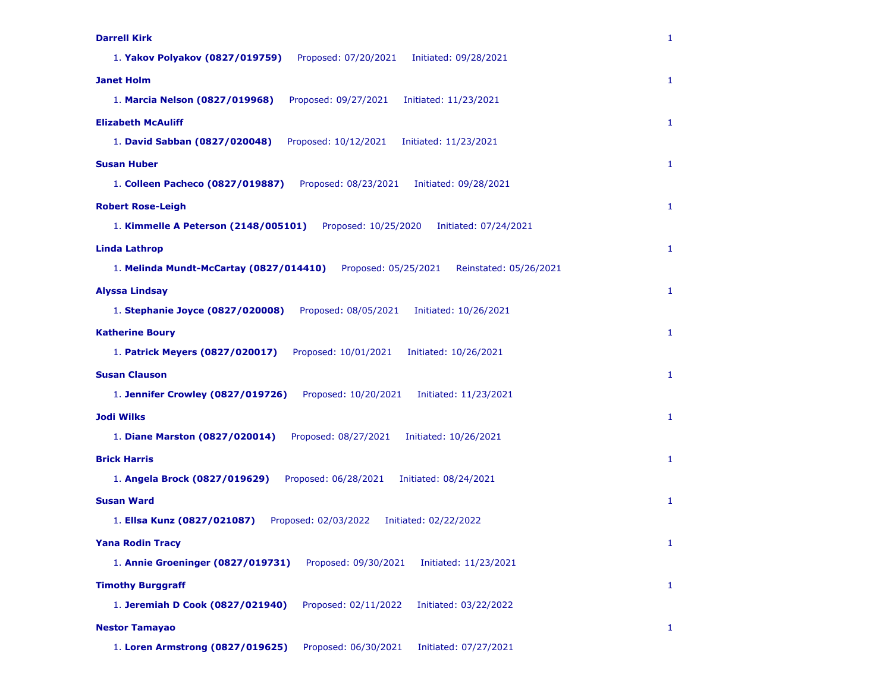| <b>Darrell Kirk</b>                                                                       | 1            |
|-------------------------------------------------------------------------------------------|--------------|
| 1. Yakov Polyakov (0827/019759)<br>Proposed: 07/20/2021<br>Initiated: 09/28/2021          |              |
| <b>Janet Holm</b>                                                                         | 1            |
| 1. Marcia Nelson (0827/019968)<br>Proposed: 09/27/2021<br>Initiated: 11/23/2021           |              |
| <b>Elizabeth McAuliff</b>                                                                 | $\mathbf{1}$ |
| 1. David Sabban (0827/020048)<br>Proposed: 10/12/2021<br>Initiated: 11/23/2021            |              |
| <b>Susan Huber</b>                                                                        | $\mathbf{1}$ |
| 1. Colleen Pacheco (0827/019887)<br>Proposed: 08/23/2021<br>Initiated: 09/28/2021         |              |
| <b>Robert Rose-Leigh</b>                                                                  | $\mathbf{1}$ |
| 1. Kimmelle A Peterson (2148/005101)<br>Proposed: 10/25/2020<br>Initiated: 07/24/2021     |              |
| <b>Linda Lathrop</b>                                                                      | 1            |
| 1. Melinda Mundt-McCartay (0827/014410)<br>Proposed: 05/25/2021<br>Reinstated: 05/26/2021 |              |
| <b>Alyssa Lindsay</b>                                                                     | 1            |
| 1. Stephanie Joyce (0827/020008)<br>Proposed: 08/05/2021<br>Initiated: 10/26/2021         |              |
| <b>Katherine Boury</b>                                                                    | 1            |
| 1. Patrick Meyers (0827/020017)<br>Proposed: 10/01/2021<br>Initiated: 10/26/2021          |              |
| <b>Susan Clauson</b>                                                                      | 1            |
| 1. Jennifer Crowley (0827/019726)<br>Proposed: 10/20/2021<br>Initiated: 11/23/2021        |              |
| <b>Jodi Wilks</b>                                                                         | $\mathbf{1}$ |
| 1. Diane Marston (0827/020014)<br>Proposed: 08/27/2021<br>Initiated: 10/26/2021           |              |
| <b>Brick Harris</b>                                                                       | 1            |
| Proposed: 06/28/2021<br>Initiated: 08/24/2021<br>1. Angela Brock (0827/019629)            |              |
| <b>Susan Ward</b>                                                                         | $\mathbf{1}$ |
| Proposed: 02/03/2022<br>1. Ellsa Kunz (0827/021087)<br>Initiated: 02/22/2022              |              |
| <b>Yana Rodin Tracy</b>                                                                   | 1            |
| 1. Annie Groeninger (0827/019731)<br>Proposed: 09/30/2021<br>Initiated: 11/23/2021        |              |
| <b>Timothy Burggraff</b>                                                                  | $\mathbf{1}$ |
| Proposed: 02/11/2022<br>1. Jeremiah D Cook (0827/021940)<br>Initiated: 03/22/2022         |              |
| <b>Nestor Tamayao</b>                                                                     | $\mathbf{1}$ |
| 1. Loren Armstrong (0827/019625)<br>Proposed: 06/30/2021<br>Initiated: 07/27/2021         |              |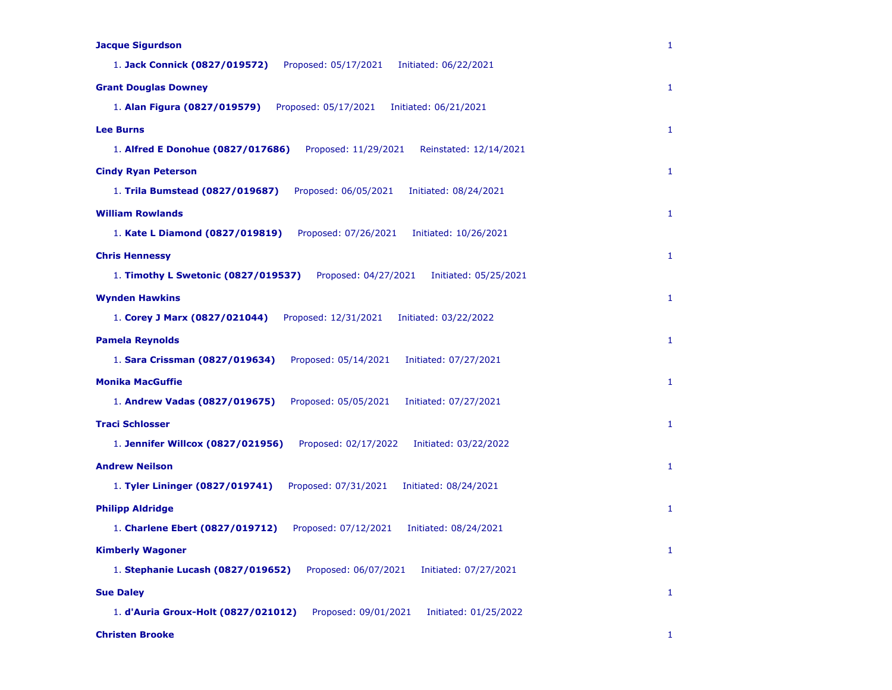| <b>Jacque Sigurdson</b>                                                              | 1            |
|--------------------------------------------------------------------------------------|--------------|
| 1. Jack Connick (0827/019572)<br>Proposed: 05/17/2021<br>Initiated: 06/22/2021       |              |
| <b>Grant Douglas Downey</b>                                                          | 1            |
| 1. Alan Figura (0827/019579)<br>Proposed: 05/17/2021<br>Initiated: 06/21/2021        |              |
| <b>Lee Burns</b>                                                                     | 1            |
| 1. Alfred E Donohue (0827/017686)<br>Proposed: 11/29/2021<br>Reinstated: 12/14/2021  |              |
| <b>Cindy Ryan Peterson</b>                                                           | 1            |
| 1. Trila Bumstead (0827/019687)<br>Proposed: 06/05/2021<br>Initiated: 08/24/2021     |              |
| <b>William Rowlands</b>                                                              | 1            |
| 1. Kate L Diamond (0827/019819)<br>Proposed: 07/26/2021<br>Initiated: 10/26/2021     |              |
| <b>Chris Hennessy</b>                                                                | 1            |
| 1. Timothy L Swetonic (0827/019537)<br>Proposed: 04/27/2021<br>Initiated: 05/25/2021 |              |
| <b>Wynden Hawkins</b>                                                                | 1            |
| 1. Corey J Marx (0827/021044)<br>Proposed: 12/31/2021<br>Initiated: 03/22/2022       |              |
| <b>Pamela Reynolds</b>                                                               | 1            |
| 1. Sara Crissman (0827/019634)<br>Proposed: 05/14/2021<br>Initiated: 07/27/2021      |              |
| <b>Monika MacGuffie</b>                                                              | 1            |
| 1. Andrew Vadas (0827/019675)<br>Proposed: 05/05/2021<br>Initiated: 07/27/2021       |              |
| <b>Traci Schlosser</b>                                                               | 1            |
| 1. Jennifer Willcox (0827/021956)<br>Proposed: 02/17/2022<br>Initiated: 03/22/2022   |              |
| <b>Andrew Neilson</b>                                                                | 1            |
| 1. Tyler Lininger (0827/019741)<br>Proposed: 07/31/2021<br>Initiated: 08/24/2021     |              |
| <b>Philipp Aldridge</b>                                                              | $\mathbf{1}$ |
| 1. Charlene Ebert (0827/019712)<br>Proposed: 07/12/2021<br>Initiated: 08/24/2021     |              |
| <b>Kimberly Wagoner</b>                                                              | 1            |
| 1. Stephanie Lucash (0827/019652)<br>Proposed: 06/07/2021<br>Initiated: 07/27/2021   |              |
| <b>Sue Daley</b>                                                                     | 1            |
| 1. d'Auria Groux-Holt (0827/021012)<br>Proposed: 09/01/2021<br>Initiated: 01/25/2022 |              |
| <b>Christen Brooke</b>                                                               | 1            |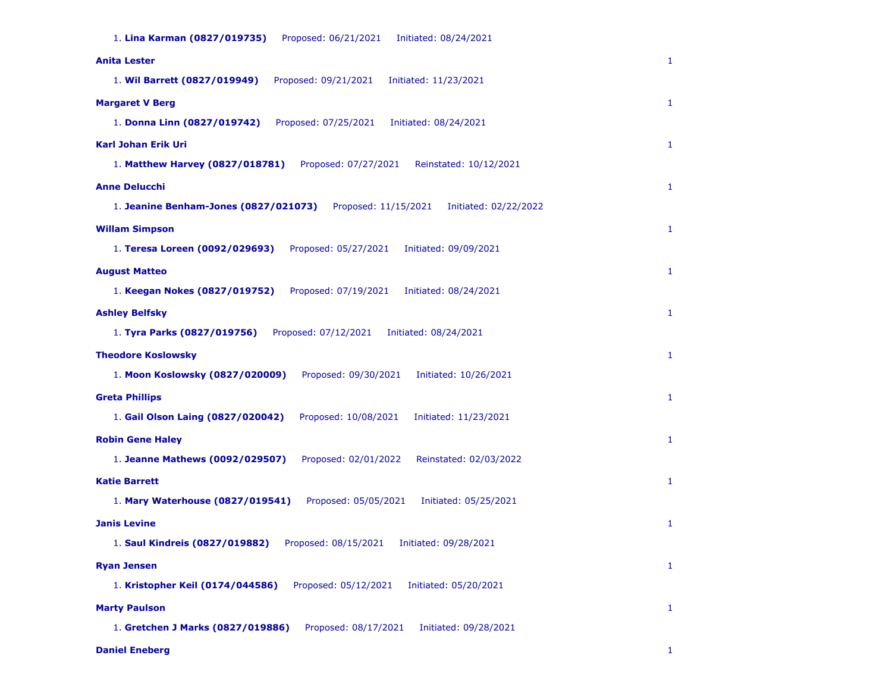| 1. Lina Karman (0827/019735)<br>Proposed: 06/21/2021<br>Initiated: 08/24/2021          |              |
|----------------------------------------------------------------------------------------|--------------|
| <b>Anita Lester</b>                                                                    | 1            |
| 1. Wil Barrett (0827/019949)<br>Proposed: 09/21/2021<br>Initiated: 11/23/2021          |              |
| <b>Margaret V Berg</b>                                                                 | $\mathbf{1}$ |
| 1. Donna Linn (0827/019742)<br>Proposed: 07/25/2021<br>Initiated: 08/24/2021           |              |
| <b>Karl Johan Erik Uri</b>                                                             | $\mathbf{1}$ |
| 1. Matthew Harvey (0827/018781)<br>Proposed: 07/27/2021<br>Reinstated: 10/12/2021      |              |
| <b>Anne Delucchi</b>                                                                   | $\mathbf{1}$ |
| 1. Jeanine Benham-Jones (0827/021073)<br>Proposed: 11/15/2021<br>Initiated: 02/22/2022 |              |
| <b>Willam Simpson</b>                                                                  | $\mathbf{1}$ |
| Proposed: 05/27/2021<br>1. Teresa Loreen (0092/029693)<br>Initiated: 09/09/2021        |              |
| <b>August Matteo</b>                                                                   | 1            |
| 1. Keegan Nokes (0827/019752)<br>Proposed: 07/19/2021<br>Initiated: 08/24/2021         |              |
| <b>Ashley Belfsky</b>                                                                  | $\mathbf{1}$ |
| 1. Tyra Parks (0827/019756)<br>Proposed: 07/12/2021<br>Initiated: 08/24/2021           |              |
| <b>Theodore Koslowsky</b>                                                              | 1            |
| 1. Moon Koslowsky (0827/020009)<br>Proposed: 09/30/2021<br>Initiated: 10/26/2021       |              |
| <b>Greta Phillips</b>                                                                  | 1            |
| 1. Gail Olson Laing (0827/020042)<br>Proposed: 10/08/2021<br>Initiated: 11/23/2021     |              |
| <b>Robin Gene Haley</b>                                                                | $\mathbf{1}$ |
| 1. Jeanne Mathews (0092/029507)<br>Proposed: 02/01/2022<br>Reinstated: 02/03/2022      |              |
| <b>Katie Barrett</b>                                                                   | 1            |
| 1. Mary Waterhouse (0827/019541)<br>Proposed: 05/05/2021<br>Initiated: 05/25/2021      |              |
| <b>Janis Levine</b>                                                                    | $\mathbf{1}$ |
| 1. Saul Kindreis (0827/019882)<br>Proposed: 08/15/2021<br>Initiated: 09/28/2021        |              |
| <b>Ryan Jensen</b>                                                                     | $\mathbf{1}$ |
| Proposed: 05/12/2021<br>1. Kristopher Keil (0174/044586)<br>Initiated: 05/20/2021      |              |
| <b>Marty Paulson</b>                                                                   | $\mathbf{1}$ |
| 1. Gretchen J Marks (0827/019886)<br>Proposed: 08/17/2021<br>Initiated: 09/28/2021     |              |

**Daniel Eneberg** 1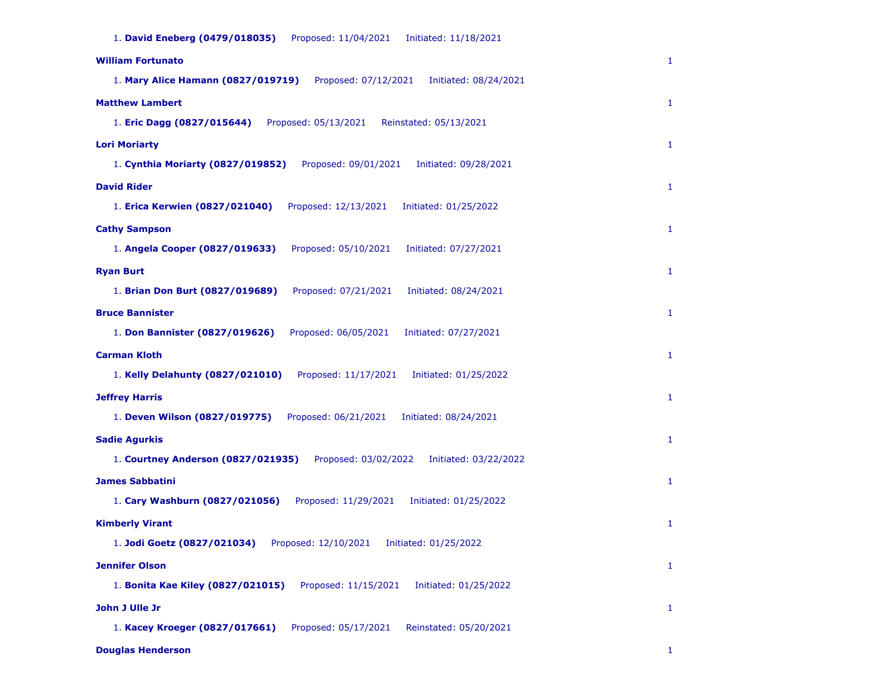| 1. David Eneberg (0479/018035)<br>Proposed: 11/04/2021<br>Initiated: 11/18/2021     |              |
|-------------------------------------------------------------------------------------|--------------|
| <b>William Fortunato</b>                                                            | 1            |
| 1. Mary Alice Hamann (0827/019719)<br>Proposed: 07/12/2021<br>Initiated: 08/24/2021 |              |
| <b>Matthew Lambert</b>                                                              | 1            |
| Proposed: 05/13/2021<br>1. Eric Dagg (0827/015644)<br>Reinstated: 05/13/2021        |              |
| <b>Lori Moriarty</b>                                                                | $\mathbf{1}$ |
| Proposed: 09/01/2021<br>1. Cynthia Moriarty (0827/019852)<br>Initiated: 09/28/2021  |              |
| <b>David Rider</b>                                                                  | $\mathbf{1}$ |
| 1. Erica Kerwien (0827/021040)<br>Proposed: 12/13/2021<br>Initiated: 01/25/2022     |              |
| <b>Cathy Sampson</b>                                                                | $\mathbf{1}$ |
| Proposed: 05/10/2021<br>1. Angela Cooper (0827/019633)<br>Initiated: 07/27/2021     |              |
| <b>Ryan Burt</b>                                                                    | $\mathbf{1}$ |
| 1. Brian Don Burt (0827/019689)<br>Proposed: 07/21/2021<br>Initiated: 08/24/2021    |              |
| <b>Bruce Bannister</b>                                                              | $\mathbf{1}$ |
| 1. Don Bannister (0827/019626)<br>Proposed: 06/05/2021<br>Initiated: 07/27/2021     |              |
| <b>Carman Kloth</b>                                                                 | 1            |
| 1. Kelly Delahunty (0827/021010)<br>Proposed: 11/17/2021<br>Initiated: 01/25/2022   |              |
| <b>Jeffrey Harris</b>                                                               | 1            |
| 1. Deven Wilson (0827/019775)<br>Proposed: 06/21/2021<br>Initiated: 08/24/2021      |              |
| <b>Sadie Agurkis</b>                                                                | 1            |
| 1. Courtney Anderson (0827/021935)<br>Proposed: 03/02/2022<br>Initiated: 03/22/2022 |              |
| <b>James Sabbatini</b>                                                              | $\mathbf{1}$ |
| 1. Cary Washburn (0827/021056)<br>Proposed: 11/29/2021<br>Initiated: 01/25/2022     |              |
| <b>Kimberly Virant</b>                                                              | $\mathbf{1}$ |
| 1. Jodi Goetz (0827/021034)<br>Proposed: 12/10/2021<br>Initiated: 01/25/2022        |              |
| <b>Jennifer Olson</b>                                                               | $\mathbf{1}$ |
| 1. Bonita Kae Kiley (0827/021015)<br>Proposed: 11/15/2021<br>Initiated: 01/25/2022  |              |
| John J Ulle Jr                                                                      | 1            |
| 1. Kacey Kroeger (0827/017661)<br>Proposed: 05/17/2021<br>Reinstated: 05/20/2021    |              |

# **Douglas Henderson** 1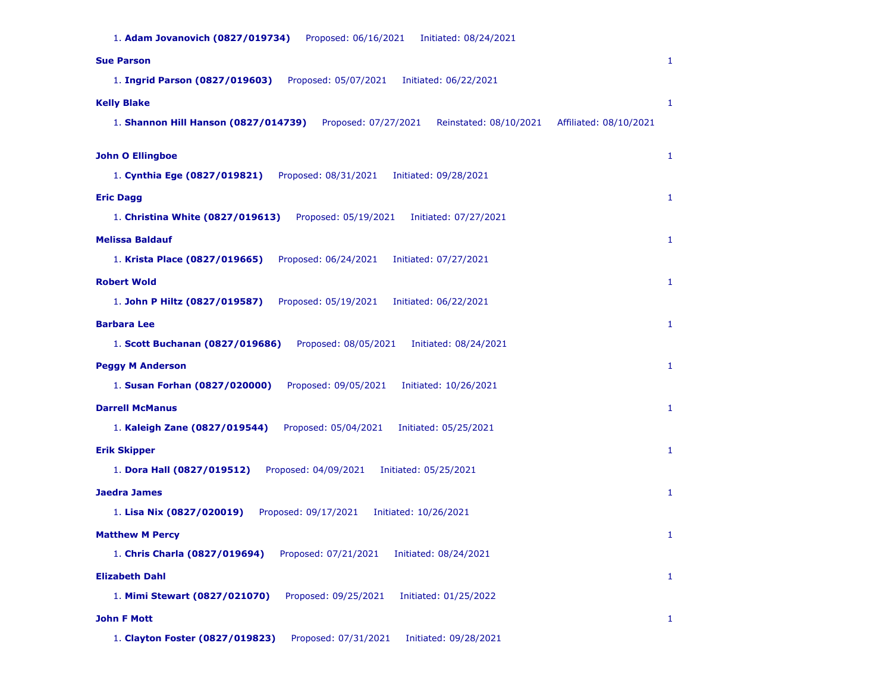| 1. Adam Jovanovich (0827/019734)<br>Proposed: 06/16/2021<br>Initiated: 08/24/2021                                |              |
|------------------------------------------------------------------------------------------------------------------|--------------|
| <b>Sue Parson</b>                                                                                                | $\mathbf{1}$ |
| 1. Ingrid Parson (0827/019603)<br>Proposed: 05/07/2021<br>Initiated: 06/22/2021                                  |              |
| <b>Kelly Blake</b>                                                                                               | $\mathbf{1}$ |
| 1. Shannon Hill Hanson (0827/014739)<br>Proposed: 07/27/2021<br>Reinstated: 08/10/2021<br>Affiliated: 08/10/2021 |              |
|                                                                                                                  |              |
| <b>John O Ellingboe</b>                                                                                          | $\mathbf{1}$ |
| 1. Cynthia Ege (0827/019821)<br>Proposed: 08/31/2021<br>Initiated: 09/28/2021                                    |              |
| <b>Eric Dagg</b>                                                                                                 | $\mathbf{1}$ |
| 1. Christina White (0827/019613)<br>Proposed: 05/19/2021<br>Initiated: 07/27/2021                                |              |
| <b>Melissa Baldauf</b>                                                                                           | $\mathbf{1}$ |
| 1. Krista Place (0827/019665)<br>Proposed: 06/24/2021<br>Initiated: 07/27/2021                                   |              |
| <b>Robert Wold</b>                                                                                               | $\mathbf{1}$ |
| 1. John P Hiltz (0827/019587)<br>Proposed: 05/19/2021<br>Initiated: 06/22/2021                                   |              |
| <b>Barbara Lee</b>                                                                                               | $\mathbf{1}$ |
| 1. Scott Buchanan (0827/019686)<br>Proposed: 08/05/2021<br>Initiated: 08/24/2021                                 |              |
| <b>Peggy M Anderson</b>                                                                                          | $\mathbf{1}$ |
| 1. Susan Forhan (0827/020000)<br>Proposed: 09/05/2021<br>Initiated: 10/26/2021                                   |              |
| <b>Darrell McManus</b>                                                                                           | $\mathbf{1}$ |
| 1. Kaleigh Zane (0827/019544)<br>Proposed: 05/04/2021<br>Initiated: 05/25/2021                                   |              |
| <b>Erik Skipper</b>                                                                                              | $\mathbf{1}$ |
| 1. Dora Hall (0827/019512)<br>Proposed: 04/09/2021<br>Initiated: 05/25/2021                                      |              |
| <b>Jaedra James</b>                                                                                              | $\mathbf{1}$ |
| 1. Lisa Nix (0827/020019)<br>Proposed: 09/17/2021<br>Initiated: 10/26/2021                                       |              |
| <b>Matthew M Percy</b>                                                                                           | 1            |
| 1. Chris Charla (0827/019694)<br>Proposed: 07/21/2021<br>Initiated: 08/24/2021                                   |              |
| <b>Elizabeth Dahl</b>                                                                                            | $\mathbf{1}$ |
| 1. Mimi Stewart (0827/021070)<br>Proposed: 09/25/2021<br>Initiated: 01/25/2022                                   |              |
| <b>John F Mott</b>                                                                                               | $\mathbf{1}$ |
|                                                                                                                  |              |

1. **Clayton Foster (0827/019823)** Proposed: 07/31/2021 Initiated: 09/28/2021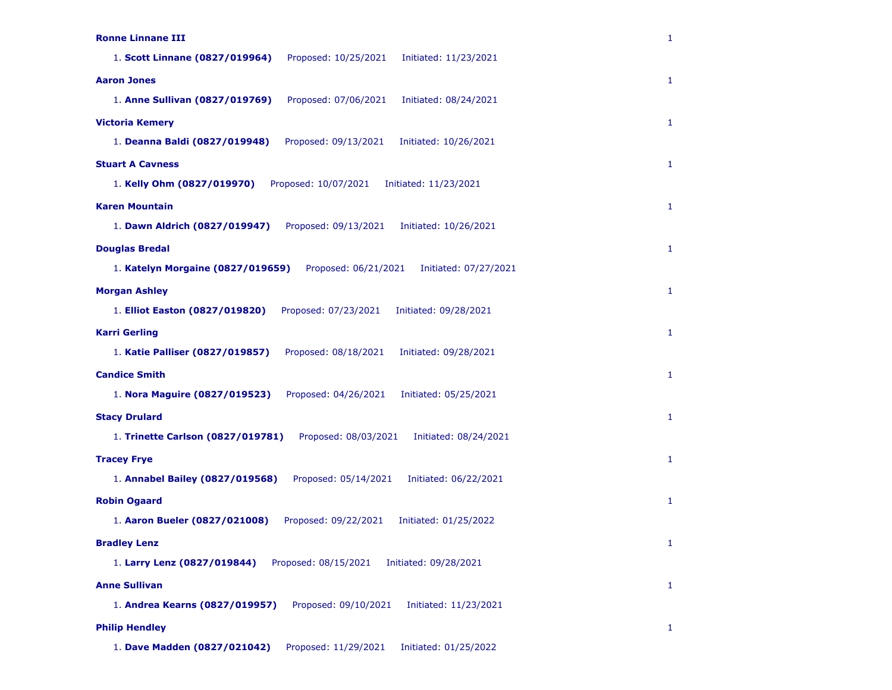| <b>Ronne Linnane III</b>                                                           | $\mathbf{1}$ |
|------------------------------------------------------------------------------------|--------------|
| 1. Scott Linnane (0827/019964)<br>Proposed: 10/25/2021<br>Initiated: 11/23/2021    |              |
| <b>Aaron Jones</b>                                                                 | $\mathbf{1}$ |
| 1. Anne Sullivan (0827/019769)<br>Proposed: 07/06/2021<br>Initiated: 08/24/2021    |              |
| <b>Victoria Kemery</b>                                                             | $\mathbf{1}$ |
| 1. Deanna Baldi (0827/019948)<br>Proposed: 09/13/2021<br>Initiated: 10/26/2021     |              |
| <b>Stuart A Cavness</b>                                                            | $\mathbf{1}$ |
| 1. Kelly Ohm (0827/019970)<br>Proposed: 10/07/2021<br>Initiated: 11/23/2021        |              |
| <b>Karen Mountain</b>                                                              | $\mathbf{1}$ |
| 1. Dawn Aldrich (0827/019947)<br>Proposed: 09/13/2021<br>Initiated: 10/26/2021     |              |
| <b>Douglas Bredal</b>                                                              | $\mathbf{1}$ |
| 1. Katelyn Morgaine (0827/019659)<br>Proposed: 06/21/2021<br>Initiated: 07/27/2021 |              |
| <b>Morgan Ashley</b>                                                               | $\mathbf{1}$ |
| 1. Elliot Easton (0827/019820)<br>Proposed: 07/23/2021<br>Initiated: 09/28/2021    |              |
| <b>Karri Gerling</b>                                                               | $\mathbf{1}$ |
| 1. Katie Palliser (0827/019857)<br>Proposed: 08/18/2021<br>Initiated: 09/28/2021   |              |
| <b>Candice Smith</b>                                                               | $\mathbf{1}$ |
| 1. Nora Maguire (0827/019523)<br>Proposed: 04/26/2021<br>Initiated: 05/25/2021     |              |
| <b>Stacy Drulard</b>                                                               | $\mathbf{1}$ |
| 1. Trinette Carlson (0827/019781)<br>Proposed: 08/03/2021<br>Initiated: 08/24/2021 |              |
| <b>Tracey Frye</b>                                                                 | $\mathbf{1}$ |
| 1. Annabel Bailey (0827/019568)<br>Proposed: 05/14/2021<br>Initiated: 06/22/2021   |              |
| <b>Robin Ogaard</b>                                                                | $\mathbf{1}$ |
| 1. Aaron Bueler (0827/021008)<br>Proposed: 09/22/2021<br>Initiated: 01/25/2022     |              |
| <b>Bradley Lenz</b>                                                                | $\mathbf{1}$ |
| 1. Larry Lenz (0827/019844)<br>Proposed: 08/15/2021<br>Initiated: 09/28/2021       |              |
| <b>Anne Sullivan</b>                                                               | $\mathbf{1}$ |
| 1. Andrea Kearns (0827/019957)<br>Proposed: 09/10/2021<br>Initiated: 11/23/2021    |              |
| <b>Philip Hendley</b>                                                              | $\mathbf{1}$ |
| 1. Dave Madden (0827/021042)<br>Proposed: 11/29/2021<br>Initiated: 01/25/2022      |              |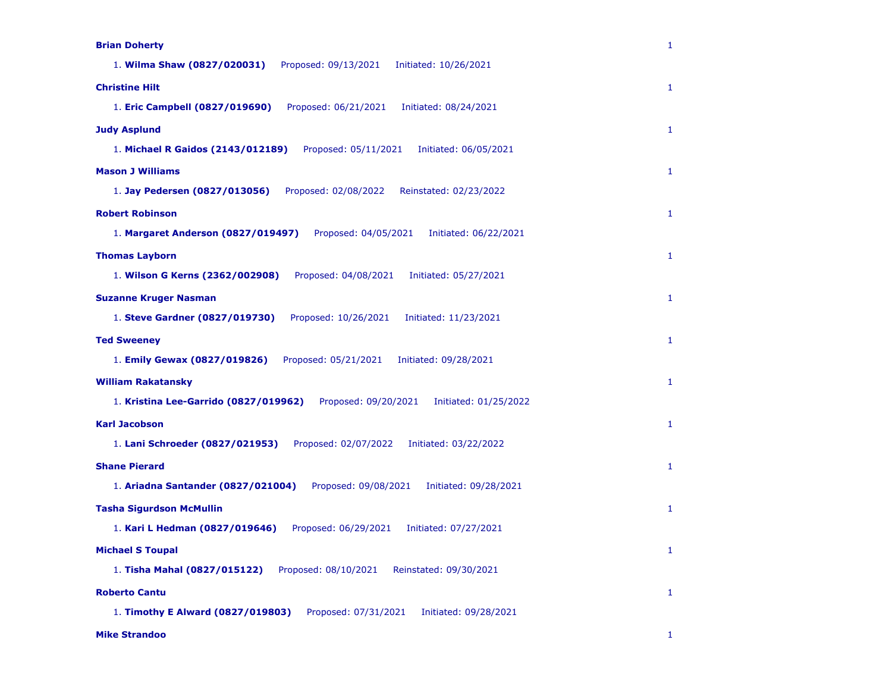| <b>Brian Doherty</b>                                                                   | $\mathbf{1}$ |
|----------------------------------------------------------------------------------------|--------------|
| 1. Wilma Shaw (0827/020031)<br>Proposed: 09/13/2021<br>Initiated: 10/26/2021           |              |
| <b>Christine Hilt</b>                                                                  | $\mathbf{1}$ |
| 1. Eric Campbell (0827/019690)<br>Proposed: 06/21/2021<br>Initiated: 08/24/2021        |              |
| <b>Judy Asplund</b>                                                                    | $\mathbf{1}$ |
| 1. Michael R Gaidos (2143/012189)<br>Proposed: 05/11/2021<br>Initiated: 06/05/2021     |              |
| <b>Mason J Williams</b>                                                                | $\mathbf{1}$ |
| 1. Jay Pedersen (0827/013056)<br>Proposed: 02/08/2022<br>Reinstated: 02/23/2022        |              |
| <b>Robert Robinson</b>                                                                 | $\mathbf{1}$ |
| Proposed: 04/05/2021<br>1. Margaret Anderson (0827/019497)<br>Initiated: 06/22/2021    |              |
| <b>Thomas Layborn</b>                                                                  | $\mathbf{1}$ |
| 1. Wilson G Kerns (2362/002908)<br>Proposed: 04/08/2021<br>Initiated: 05/27/2021       |              |
| <b>Suzanne Kruger Nasman</b>                                                           | $\mathbf{1}$ |
| 1. Steve Gardner (0827/019730)<br>Proposed: 10/26/2021<br>Initiated: 11/23/2021        |              |
| <b>Ted Sweeney</b>                                                                     | 1            |
| 1. Emily Gewax (0827/019826)<br>Proposed: 05/21/2021<br>Initiated: 09/28/2021          |              |
| <b>William Rakatansky</b>                                                              | $\mathbf{1}$ |
| 1. Kristina Lee-Garrido (0827/019962)<br>Proposed: 09/20/2021<br>Initiated: 01/25/2022 |              |
| <b>Karl Jacobson</b>                                                                   | $\mathbf{1}$ |
| 1. Lani Schroeder (0827/021953)<br>Proposed: 02/07/2022<br>Initiated: 03/22/2022       |              |
| <b>Shane Pierard</b>                                                                   | $\mathbf{1}$ |
| 1. Ariadna Santander (0827/021004)<br>Proposed: 09/08/2021<br>Initiated: 09/28/2021    |              |
| <b>Tasha Sigurdson McMullin</b>                                                        | $\mathbf{1}$ |
| 1. Kari L Hedman (0827/019646)<br>Proposed: 06/29/2021<br>Initiated: 07/27/2021        |              |
| <b>Michael S Toupal</b>                                                                | $\mathbf{1}$ |
| 1. Tisha Mahal (0827/015122)<br>Proposed: 08/10/2021<br>Reinstated: 09/30/2021         |              |
| <b>Roberto Cantu</b>                                                                   | $\mathbf{1}$ |
| 1. Timothy E Alward (0827/019803)<br>Proposed: 07/31/2021<br>Initiated: 09/28/2021     |              |

**Mike Strandoo** 1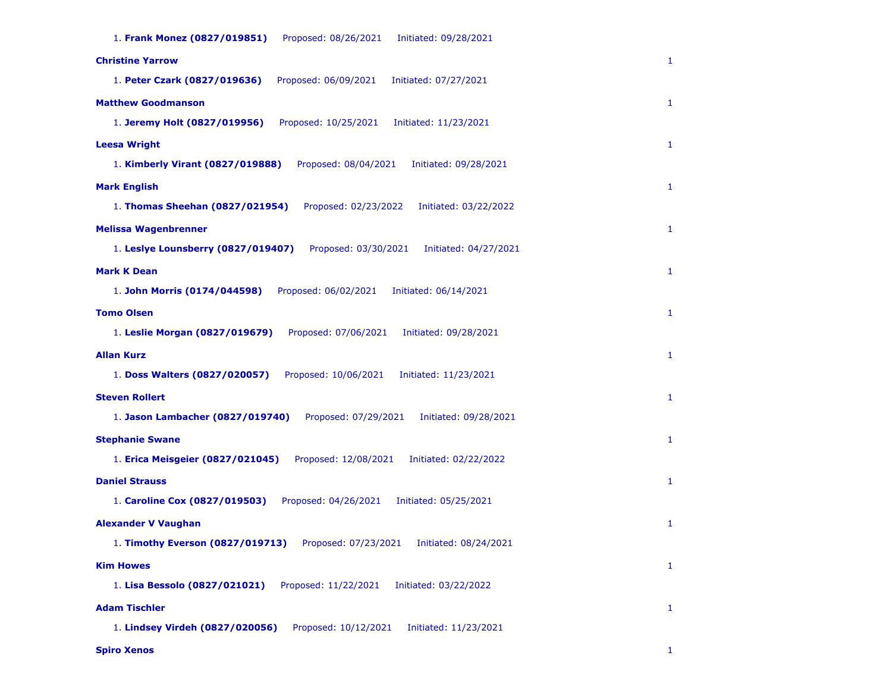| 1. Frank Monez (0827/019851)<br>Proposed: 08/26/2021<br>Initiated: 09/28/2021       |              |
|-------------------------------------------------------------------------------------|--------------|
| <b>Christine Yarrow</b>                                                             | 1            |
| 1. Peter Czark (0827/019636)<br>Proposed: 06/09/2021<br>Initiated: 07/27/2021       |              |
| <b>Matthew Goodmanson</b>                                                           | 1            |
| 1. Jeremy Holt (0827/019956)<br>Proposed: 10/25/2021<br>Initiated: 11/23/2021       |              |
| <b>Leesa Wright</b>                                                                 | 1            |
| 1. Kimberly Virant (0827/019888)<br>Proposed: 08/04/2021<br>Initiated: 09/28/2021   |              |
| <b>Mark English</b>                                                                 | $\mathbf{1}$ |
| 1. Thomas Sheehan (0827/021954)<br>Proposed: 02/23/2022<br>Initiated: 03/22/2022    |              |
| <b>Melissa Wagenbrenner</b>                                                         | $\mathbf{1}$ |
| 1. Leslye Lounsberry (0827/019407)<br>Proposed: 03/30/2021<br>Initiated: 04/27/2021 |              |
| <b>Mark K Dean</b>                                                                  | $\mathbf{1}$ |
| Proposed: 06/02/2021<br>1. John Morris (0174/044598)<br>Initiated: 06/14/2021       |              |
| <b>Tomo Olsen</b>                                                                   | 1            |
| 1. Leslie Morgan (0827/019679)<br>Proposed: 07/06/2021<br>Initiated: 09/28/2021     |              |
| <b>Allan Kurz</b>                                                                   | 1            |
| 1. Doss Walters (0827/020057)<br>Proposed: 10/06/2021<br>Initiated: 11/23/2021      |              |
| <b>Steven Rollert</b>                                                               | 1            |
| 1. Jason Lambacher (0827/019740)<br>Proposed: 07/29/2021<br>Initiated: 09/28/2021   |              |
| <b>Stephanie Swane</b>                                                              | 1            |
| 1. Erica Meisgeier (0827/021045)<br>Proposed: 12/08/2021<br>Initiated: 02/22/2022   |              |
| <b>Daniel Strauss</b>                                                               | 1            |
| 1. Caroline Cox (0827/019503)<br>Proposed: 04/26/2021<br>Initiated: 05/25/2021      |              |
| <b>Alexander V Vaughan</b>                                                          | 1            |
| 1. Timothy Everson (0827/019713)<br>Proposed: 07/23/2021<br>Initiated: 08/24/2021   |              |
| <b>Kim Howes</b>                                                                    | 1            |
| Proposed: 11/22/2021<br>1. Lisa Bessolo (0827/021021)<br>Initiated: 03/22/2022      |              |
| <b>Adam Tischler</b>                                                                | 1            |
| 1. Lindsey Virdeh (0827/020056)<br>Proposed: 10/12/2021<br>Initiated: 11/23/2021    |              |

**Spiro Xenos** 1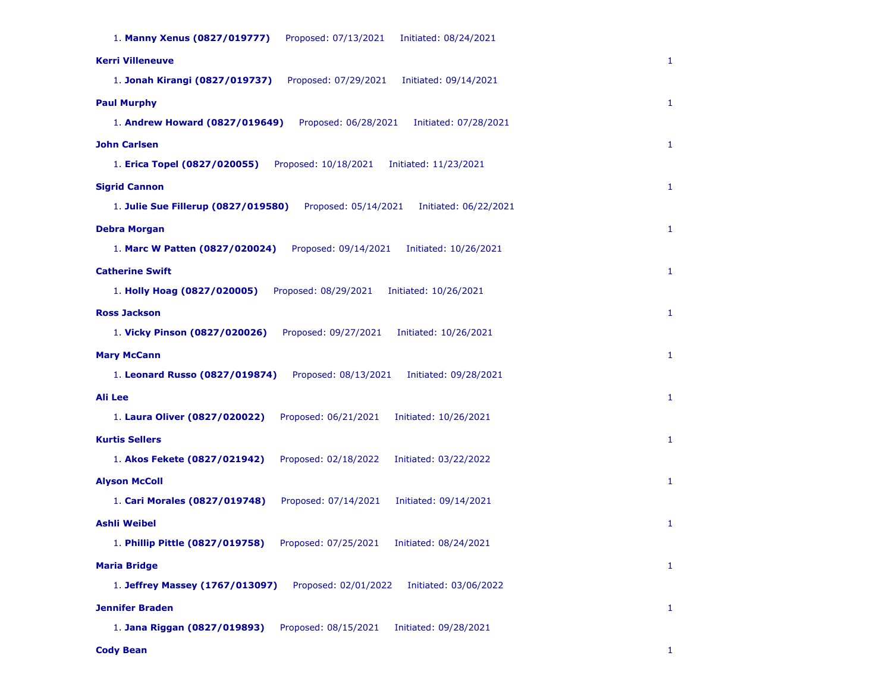| 1. Manny Xenus (0827/019777)<br>Proposed: 07/13/2021<br>Initiated: 08/24/2021        |              |
|--------------------------------------------------------------------------------------|--------------|
| <b>Kerri Villeneuve</b>                                                              | 1            |
| 1. Jonah Kirangi (0827/019737)<br>Proposed: 07/29/2021<br>Initiated: 09/14/2021      |              |
| <b>Paul Murphy</b>                                                                   | 1            |
| 1. Andrew Howard (0827/019649)<br>Proposed: 06/28/2021<br>Initiated: 07/28/2021      |              |
| <b>John Carlsen</b>                                                                  | 1            |
| 1. Erica Topel (0827/020055)<br>Proposed: 10/18/2021<br>Initiated: 11/23/2021        |              |
| <b>Sigrid Cannon</b>                                                                 | 1            |
| 1. Julie Sue Fillerup (0827/019580)<br>Proposed: 05/14/2021<br>Initiated: 06/22/2021 |              |
| <b>Debra Morgan</b>                                                                  | $\mathbf{1}$ |
| 1. Marc W Patten (0827/020024)<br>Proposed: 09/14/2021<br>Initiated: 10/26/2021      |              |
| <b>Catherine Swift</b>                                                               | 1            |
| 1. Holly Hoag (0827/020005)<br>Proposed: 08/29/2021<br>Initiated: 10/26/2021         |              |
| <b>Ross Jackson</b>                                                                  | $\mathbf{1}$ |
| 1. Vicky Pinson (0827/020026)<br>Proposed: 09/27/2021<br>Initiated: 10/26/2021       |              |
| <b>Mary McCann</b>                                                                   | 1            |
| 1. Leonard Russo (0827/019874)<br>Proposed: 08/13/2021<br>Initiated: 09/28/2021      |              |
| <b>Ali Lee</b>                                                                       | $\mathbf{1}$ |
| 1. Laura Oliver (0827/020022)<br>Proposed: 06/21/2021<br>Initiated: 10/26/2021       |              |
| <b>Kurtis Sellers</b>                                                                | 1            |
| Proposed: 02/18/2022<br>1. Akos Fekete (0827/021942)<br>Initiated: 03/22/2022        |              |
| <b>Alyson McColl</b>                                                                 | 1            |
| 1. Cari Morales (0827/019748)<br>Proposed: 07/14/2021<br>Initiated: 09/14/2021       |              |
| <b>Ashli Weibel</b>                                                                  | 1            |
| 1. Phillip Pittle (0827/019758)<br>Proposed: 07/25/2021<br>Initiated: 08/24/2021     |              |
| <b>Maria Bridge</b>                                                                  | $\mathbf{1}$ |
| 1. Jeffrey Massey (1767/013097)<br>Proposed: 02/01/2022<br>Initiated: 03/06/2022     |              |
| <b>Jennifer Braden</b>                                                               | 1            |
| 1. Jana Riggan (0827/019893)<br>Proposed: 08/15/2021<br>Initiated: 09/28/2021        |              |